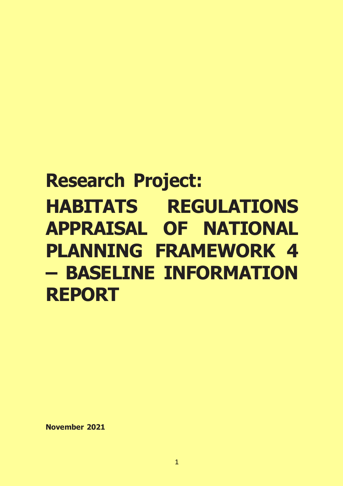# **Research Project: HABITATS REGULATIONS APPRAISAL OF NATIONAL PLANNING FRAMEWORK 4 – BASELINE INFORMATION REPORT**

**November 2021**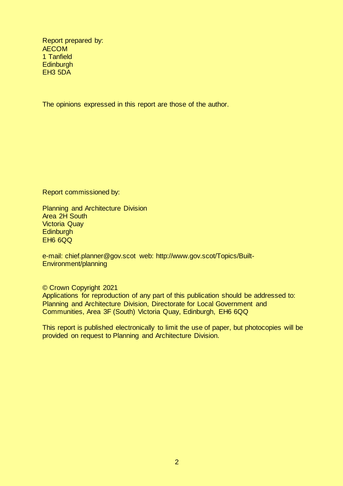Report prepared by: AECOM 1 Tanfield **Edinburgh** EH3 5DA

The opinions expressed in this report are those of the author.

Report commissioned by:

Planning and Architecture Division Area 2H South Victoria Quay **Edinburgh** EH6 6QQ

e-mail: chief.planner@gov.scot web: http://www.gov.scot/Topics/Built-Environment/planning

© Crown Copyright 2021 Applications for reproduction of any part of this publication should be addressed to: Planning and Architecture Division, Directorate for Local Government and Communities, Area 3F (South) Victoria Quay, Edinburgh, EH6 6QQ

This report is published electronically to limit the use of paper, but photocopies will be provided on request to Planning and Architecture Division.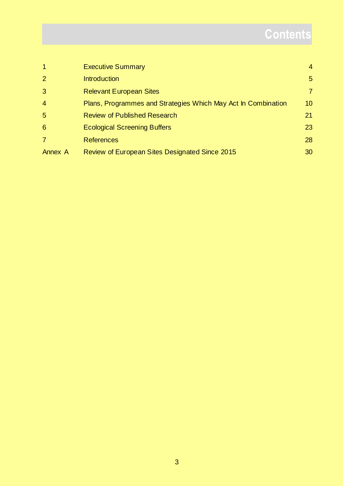# **Contents**

|                 | <b>Executive Summary</b>                                      | $\overline{4}$  |
|-----------------|---------------------------------------------------------------|-----------------|
| $\overline{2}$  | <b>Introduction</b>                                           | $5\overline{)}$ |
| 3               | <b>Relevant European Sites</b>                                | $\overline{7}$  |
| $\overline{4}$  | Plans, Programmes and Strategies Which May Act In Combination | 10 <sup>°</sup> |
| $5\overline{)}$ | <b>Review of Published Research</b>                           | 21              |
| 6               | <b>Ecological Screening Buffers</b>                           | 23              |
|                 | <b>References</b>                                             | 28              |
| Annex A         | Review of European Sites Designated Since 2015                | 30              |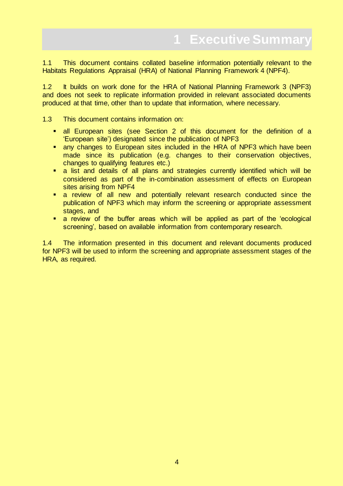<span id="page-3-0"></span>1.1 This document contains collated baseline information potentially relevant to the Habitats Regulations Appraisal (HRA) of National Planning Framework 4 (NPF4).

1.2 It builds on work done for the HRA of National Planning Framework 3 (NPF3) and does not seek to replicate information provided in relevant associated documents produced at that time, other than to update that information, where necessary.

1.3 This document contains information on:

- all European sites (see Section 2 of this document for the definition of a 'European site') designated since the publication of NPF3
- **E.** any changes to European sites included in the HRA of NPF3 which have been made since its publication (e.g. changes to their conservation objectives, changes to qualifying features etc.)
- a list and details of all plans and strategies currently identified which will be considered as part of the in-combination assessment of effects on European sites arising from NPF4
- **a** review of all new and potentially relevant research conducted since the publication of NPF3 which may inform the screening or appropriate assessment stages, and
- a review of the buffer areas which will be applied as part of the 'ecological screening', based on available information from contemporary research.

1.4 The information presented in this document and relevant documents produced for NPF3 will be used to inform the screening and appropriate assessment stages of the HRA, as required.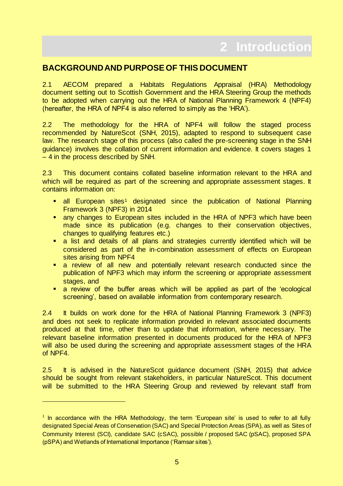### <span id="page-4-0"></span>**BACKGROUND AND PURPOSE OF THIS DOCUMENT**

2.1 AECOM prepared a Habitats Regulations Appraisal (HRA) Methodology document setting out to Scottish Government and the HRA Steering Group the methods to be adopted when carrying out the HRA of National Planning Framework 4 (NPF4) (hereafter, the HRA of NPF4 is also referred to simply as the 'HRA').

2.2 The methodology for the HRA of NPF4 will follow the staged process recommended by NatureScot (SNH, 2015), adapted to respond to subsequent case law. The research stage of this process (also called the pre-screening stage in the SNH guidance) involves the collation of current information and evidence. It covers stages 1 – 4 in the process described by SNH.

2.3 This document contains collated baseline information relevant to the HRA and which will be required as part of the screening and appropriate assessment stages. It contains information on:

- all European sites<sup>1</sup> designated since the publication of National Planning Framework 3 (NPF3) in 2014
- **E.** any changes to European sites included in the HRA of NPF3 which have been made since its publication (e.g. changes to their conservation objectives, changes to qualifying features etc.)
- a list and details of all plans and strategies currently identified which will be considered as part of the in-combination assessment of effects on European sites arising from NPF4
- a review of all new and potentially relevant research conducted since the publication of NPF3 which may inform the screening or appropriate assessment stages, and
- **a** review of the buffer areas which will be applied as part of the 'ecological screening', based on available information from contemporary research.

2.4 It builds on work done for the HRA of National Planning Framework 3 (NPF3) and does not seek to replicate information provided in relevant associated documents produced at that time, other than to update that information, where necessary. The relevant baseline information presented in documents produced for the HRA of NPF3 will also be used during the screening and appropriate assessment stages of the HRA of NPF4.

2.5 It is advised in the NatureScot guidance document (SNH, 2015) that advice should be sought from relevant stakeholders, in particular NatureScot. This document will be submitted to the HRA Steering Group and reviewed by relevant staff from

<sup>&</sup>lt;sup>1</sup> In accordance with the HRA Methodology, the term 'European site' is used to refer to all fully designated Special Areas of Conservation (SAC) and Special Protection Areas (SPA), as well as Sites of Community Interest (SCI), candidate SAC (cSAC), possible / proposed SAC (pSAC), proposed SPA (pSPA) and Wetlands of International Importance ('Ramsar sites').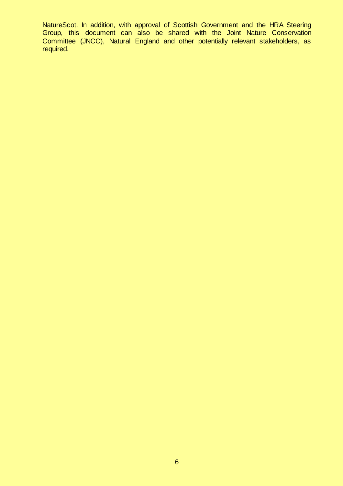NatureScot. In addition, with approval of Scottish Government and the HRA Steering Group, this document can also be shared with the Joint Nature Conservation Committee (JNCC), Natural England and other potentially relevant stakeholders, as required.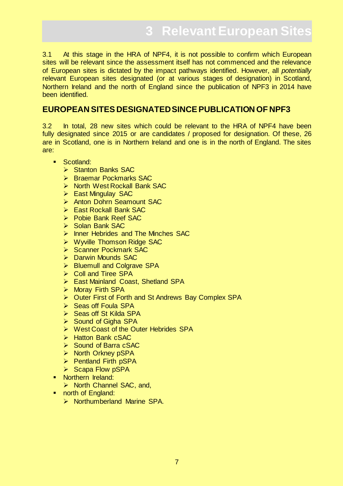<span id="page-6-0"></span>3.1 At this stage in the HRA of NPF4, it is not possible to confirm which European sites will be relevant since the assessment itself has not commenced and the relevance of European sites is dictated by the impact pathways identified. However, all *potentially* relevant European sites designated (or at various stages of designation) in Scotland, Northern Ireland and the north of England since the publication of NPF3 in 2014 have been identified.

# **EUROPEAN SITES DESIGNATED SINCE PUBLICATION OF NPF3**

3.2 In total, 28 new sites which could be relevant to the HRA of NPF4 have been fully designated since 2015 or are candidates / proposed for designation. Of these, 26 are in Scotland, one is in Northern Ireland and one is in the north of England. The sites are:

- **Scotland:** 
	- $\triangleright$  Stanton Banks SAC
	- $\triangleright$  Braemar Pockmarks SAC
	- ▶ North West Rockall Bank SAC
	- ▶ East Mingulay SAC
	- > Anton Dohrn Seamount SAC
	- East Rockall Bank SAC
	- ▶ Pobie Bank Reef SAC
	- $\triangleright$  Solan Bank SAC
	- $\triangleright$  Inner Hebrides and The Minches SAC
	- ▶ Wyville Thomson Ridge SAC
	- Scanner Pockmark SAC
	- $\triangleright$  Darwin Mounds SAC
	- ▶ Bluemull and Colgrave SPA
	- $\triangleright$  Coll and Tiree SPA
	- ▶ East Mainland Coast, Shetland SPA
	- > Moray Firth SPA
	- ▶ Outer First of Forth and St Andrews Bay Complex SPA
	- $\triangleright$  Seas off Foula SPA
	- $\triangleright$  Seas off St Kilda SPA
	- $\triangleright$  Sound of Gigha SPA
	- ▶ West Coast of the Outer Hebrides SPA
	- $\triangleright$  Hatton Bank cSAC
	- $\triangleright$  Sound of Barra cSAC
	- $\triangleright$  North Orkney pSPA
	- $\triangleright$  Pentland Firth pSPA
	- $\triangleright$  Scapa Flow pSPA
- Northern Ireland:
	- ▶ North Channel SAC, and,
- north of England:
	- $\triangleright$  Northumberland Marine SPA.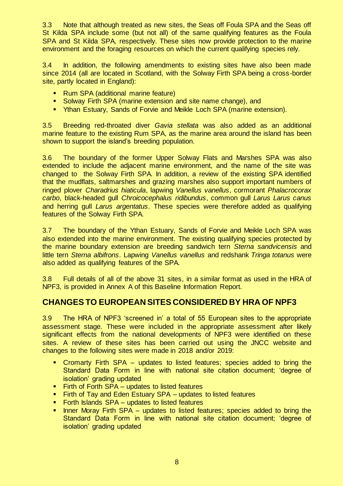3.3 Note that although treated as new sites, the Seas off Foula SPA and the Seas off St Kilda SPA include some (but not all) of the same qualifying features as the Foula SPA and St Kilda SPA, respectively. These sites now provide protection to the marine environment and the foraging resources on which the current qualifying species rely.

3.4 In addition, the following amendments to existing sites have also been made since 2014 (all are located in Scotland, with the Solway Firth SPA being a cross-border site, partly located in England):

- Rum SPA (additional marine feature)
- Solway Firth SPA (marine extension and site name change), and
- **Than Estuary, Sands of Forvie and Meikle Loch SPA (marine extension).**

3.5 Breeding red-throated diver *Gavia stellata* was also added as an additional marine feature to the existing Rum SPA, as the marine area around the island has been shown to support the island's breeding population.

3.6 The boundary of the former Upper Solway Flats and Marshes SPA was also extended to include the adjacent marine environment, and the name of the site was changed to the Solway Firth SPA. In addition, a review of the existing SPA identified that the mudflats, saltmarshes and grazing marshes also support important numbers of ringed plover *Charadrius hiaticula*, lapwing *Vanellus vanellus*, cormorant *Phalacrocorax carbo*, black-headed gull *Chroicocephalus ridibundus*, common gull *Larus Larus canus* and herring gull *Larus argentatus*. These species were therefore added as qualifying features of the Solway Firth SPA.

3.7 The boundary of the Ythan Estuary, Sands of Forvie and Meikle Loch SPA was also extended into the marine environment. The existing qualifying species protected by the marine boundary extension are breeding sandwich tern *Sterna sandvicensis* and little tern *Sterna albifrons*. Lapwing *Vanellus vanellus* and redshank *Tringa totanus* were also added as qualifying features of the SPA.

3.8 Full details of all of the above 31 sites, in a similar format as used in the HRA of NPF3, is provided in Annex A of this Baseline Information Report.

# **CHANGES TO EUROPEAN SITES CONSIDERED BY HRA OF NPF3**

3.9 The HRA of NPF3 'screened in' a total of 55 European sites to the appropriate assessment stage. These were included in the appropriate assessment after likely significant effects from the national developments of NPF3 were identified on these sites. A review of these sites has been carried out using the JNCC website and changes to the following sites were made in 2018 and/or 2019:

- Cromarty Firth SPA updates to listed features; species added to bring the Standard Data Form in line with national site citation document; 'degree of isolation' grading updated
- **Firth of Forth SPA updates to listed features**
- Firth of Tay and Eden Estuary SPA updates to listed features
- **Forth Islands SPA updates to listed features**
- **Inner Moray Firth SPA updates to listed features; species added to bring the** Standard Data Form in line with national site citation document; 'degree of isolation' grading updated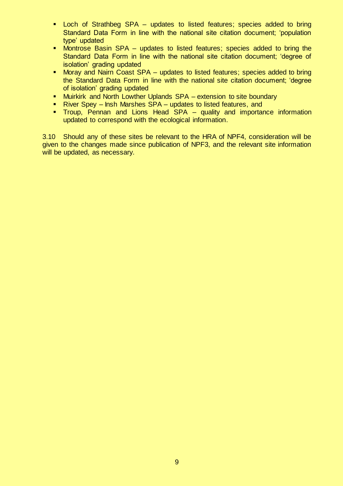- Loch of Strathbeg SPA updates to listed features; species added to bring Standard Data Form in line with the national site citation document; 'population type' updated
- **Montrose Basin SPA** updates to listed features; species added to bring the Standard Data Form in line with the national site citation document; 'degree of isolation' grading updated
- Moray and Nairn Coast SPA updates to listed features; species added to bring the Standard Data Form in line with the national site citation document; 'degree of isolation' grading updated
- **Muirkirk and North Lowther Uplands SPA** extension to site boundary
- River Spey Insh Marshes SPA updates to listed features, and
- **Troup, Pennan and Lions Head SPA quality and importance information** updated to correspond with the ecological information.

3.10 Should any of these sites be relevant to the HRA of NPF4, consideration will be given to the changes made since publication of NPF3, and the relevant site information will be updated, as necessary.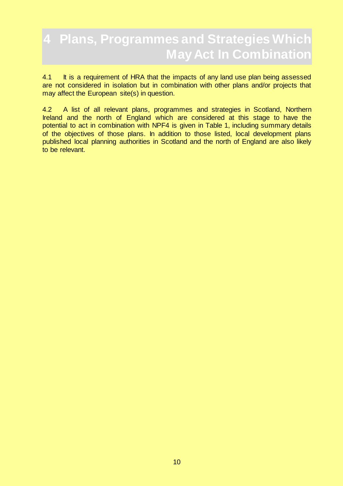# <span id="page-9-0"></span>**4 Plans, Programmes and Strategies Which May Act In Combination**

4.1 It is a requirement of HRA that the impacts of any land use plan being assessed are not considered in isolation but in combination with other plans and/or projects that may affect the European site(s) in question.

4.2 A list of all relevant plans, programmes and strategies in Scotland, Northern Ireland and the north of England which are considered at this stage to have the potential to act in combination with NPF4 is given in Table 1, including summary details of the objectives of those plans. In addition to those listed, local development plans published local planning authorities in Scotland and the north of England are also likely to be relevant.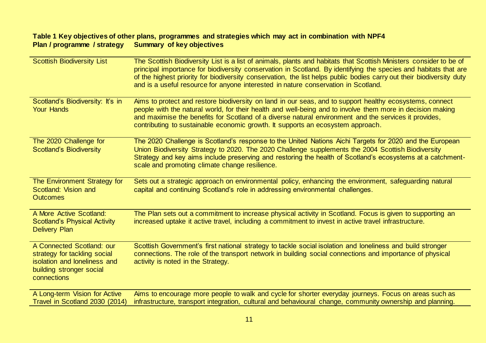#### **Table 1 Key objectives of other plans, programmes and strategies which may act in combination with NPF4 Plan / programme / strategy Summary of key objectives**

| <b>Scottish Biodiversity List</b>                                                                                                    | The Scottish Biodiversity List is a list of animals, plants and habitats that Scottish Ministers consider to be of<br>principal importance for biodiversity conservation in Scotland. By identifying the species and habitats that are<br>of the highest priority for biodiversity conservation, the list helps public bodies carry out their biodiversity duty<br>and is a useful resource for anyone interested in nature conservation in Scotland. |
|--------------------------------------------------------------------------------------------------------------------------------------|-------------------------------------------------------------------------------------------------------------------------------------------------------------------------------------------------------------------------------------------------------------------------------------------------------------------------------------------------------------------------------------------------------------------------------------------------------|
| Scotland's Biodiversity: It's in<br><b>Your Hands</b>                                                                                | Aims to protect and restore biodiversity on land in our seas, and to support healthy ecosystems, connect<br>people with the natural world, for their health and well-being and to involve them more in decision making<br>and maximise the benefits for Scotland of a diverse natural environment and the services it provides,<br>contributing to sustainable economic growth. It supports an ecosystem approach.                                    |
| The 2020 Challenge for<br><b>Scotland's Biodiversity</b>                                                                             | The 2020 Challenge is Scotland's response to the United Nations Aichi Targets for 2020 and the European<br>Union Biodiversity Strategy to 2020. The 2020 Challenge supplements the 2004 Scottish Biodiversity<br>Strategy and key aims include preserving and restoring the health of Scotland's ecosystems at a catchment-<br>scale and promoting climate change resilience.                                                                         |
| The Environment Strategy for<br>Scotland: Vision and<br><b>Outcomes</b>                                                              | Sets out a strategic approach on environmental policy, enhancing the environment, safeguarding natural<br>capital and continuing Scotland's role in addressing environmental challenges.                                                                                                                                                                                                                                                              |
| A More Active Scotland:<br><b>Scotland's Physical Activity</b><br><b>Delivery Plan</b>                                               | The Plan sets out a commitment to increase physical activity in Scotland. Focus is given to supporting an<br>increased uptake it active travel, including a commitment to invest in active travel infrastructure.                                                                                                                                                                                                                                     |
| A Connected Scotland: our<br>strategy for tackling social<br>isolation and loneliness and<br>building stronger social<br>connections | Scottish Government's first national strategy to tackle social isolation and loneliness and build stronger<br>connections. The role of the transport network in building social connections and importance of physical<br>activity is noted in the Strategy.                                                                                                                                                                                          |
| A Long-term Vision for Active<br>Travel in Scotland 2030 (2014)                                                                      | Aims to encourage more people to walk and cycle for shorter everyday journeys. Focus on areas such as<br>infrastructure, transport integration, cultural and behavioural change, community ownership and planning.                                                                                                                                                                                                                                    |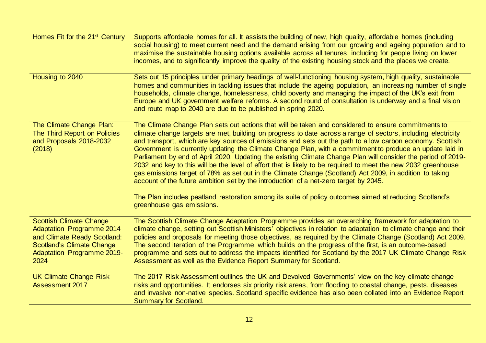| Homes Fit for the 21 <sup>st</sup> Century                                                                                                                                  | Supports affordable homes for all. It assists the building of new, high quality, affordable homes (including<br>social housing) to meet current need and the demand arising from our growing and ageing population and to<br>maximise the sustainable housing options available across all tenures, including for people living on lower<br>incomes, and to significantly improve the quality of the existing housing stock and the places we create.                                                                                                                                                                                                                                                                                                                                                                                                                                                                                                                                                                     |
|-----------------------------------------------------------------------------------------------------------------------------------------------------------------------------|---------------------------------------------------------------------------------------------------------------------------------------------------------------------------------------------------------------------------------------------------------------------------------------------------------------------------------------------------------------------------------------------------------------------------------------------------------------------------------------------------------------------------------------------------------------------------------------------------------------------------------------------------------------------------------------------------------------------------------------------------------------------------------------------------------------------------------------------------------------------------------------------------------------------------------------------------------------------------------------------------------------------------|
| Housing to 2040                                                                                                                                                             | Sets out 15 principles under primary headings of well-functioning housing system, high quality, sustainable<br>homes and communities in tackling issues that include the ageing population, an increasing number of single<br>households, climate change, homelessness, child poverty and managing the impact of the UK's exit from<br>Europe and UK government welfare reforms. A second round of consultation is underway and a final vision<br>and route map to 2040 are due to be published in spring 2020.                                                                                                                                                                                                                                                                                                                                                                                                                                                                                                           |
| The Climate Change Plan:<br>The Third Report on Policies<br>and Proposals 2018-2032<br>(2018)                                                                               | The Climate Change Plan sets out actions that will be taken and considered to ensure commitments to<br>climate change targets are met, building on progress to date across a range of sectors, including electricity<br>and transport, which are key sources of emissions and sets out the path to a low carbon economy. Scottish<br>Government is currently updating the Climate Change Plan, with a commitment to produce an update laid in<br>Parliament by end of April 2020. Updating the existing Climate Change Plan will consider the period of 2019-<br>2032 and key to this will be the level of effort that is likely to be required to meet the new 2032 greenhouse<br>gas emissions target of 78% as set out in the Climate Change (Scotland) Act 2009, in addition to taking<br>account of the future ambition set by the introduction of a net-zero target by 2045.<br>The Plan includes peatland restoration among its suite of policy outcomes aimed at reducing Scotland's<br>greenhouse gas emissions. |
| <b>Scottish Climate Change</b><br>Adaptation Programme 2014<br>and Climate Ready Scotland:<br><b>Scotland's Climate Change</b><br><b>Adaptation Programme 2019-</b><br>2024 | The Scottish Climate Change Adaptation Programme provides an overarching framework for adaptation to<br>climate change, setting out Scottish Ministers' objectives in relation to adaptation to climate change and their<br>policies and proposals for meeting those objectives, as required by the Climate Change (Scotland) Act 2009.<br>The second iteration of the Programme, which builds on the progress of the first, is an outcome-based<br>programme and sets out to address the impacts identified for Scotland by the 2017 UK Climate Change Risk<br>Assessment as well as the Evidence Report Summary for Scotland.                                                                                                                                                                                                                                                                                                                                                                                           |
| <b>UK Climate Change Risk</b><br><b>Assessment 2017</b>                                                                                                                     | The 2017 Risk Assessment outlines the UK and Devolved Governments' view on the key climate change<br>risks and opportunities. It endorses six priority risk areas, from flooding to coastal change, pests, diseases<br>and invasive non-native species. Scotland specific evidence has also been collated into an Evidence Report<br><b>Summary for Scotland.</b>                                                                                                                                                                                                                                                                                                                                                                                                                                                                                                                                                                                                                                                         |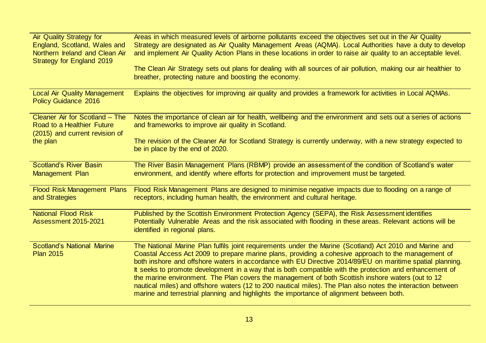| <b>Air Quality Strategy for</b><br>England, Scotland, Wales and<br>Northern Ireland and Clean Air<br>Strategy for England 2019 | Areas in which measured levels of airborne pollutants exceed the objectives set out in the Air Quality<br>Strategy are designated as Air Quality Management Areas (AQMA). Local Authorities have a duty to develop<br>and implement Air Quality Action Plans in these locations in order to raise air quality to an acceptable level.<br>The Clean Air Strategy sets out plans for dealing with all sources of air pollution, making our air healthier to<br>breather, protecting nature and boosting the economy.                                                                                                                                                                                                                                     |
|--------------------------------------------------------------------------------------------------------------------------------|--------------------------------------------------------------------------------------------------------------------------------------------------------------------------------------------------------------------------------------------------------------------------------------------------------------------------------------------------------------------------------------------------------------------------------------------------------------------------------------------------------------------------------------------------------------------------------------------------------------------------------------------------------------------------------------------------------------------------------------------------------|
| <b>Local Air Quality Management</b><br><b>Policy Guidance 2016</b>                                                             | Explains the objectives for improving air quality and provides a framework for activities in Local AQMAs.                                                                                                                                                                                                                                                                                                                                                                                                                                                                                                                                                                                                                                              |
| Cleaner Air for Scotland - The<br>Road to a Healthier Future<br>(2015) and current revision of<br>the plan                     | Notes the importance of clean air for health, wellbeing and the environment and sets out a series of actions<br>and frameworks to improve air quality in Scotland.<br>The revision of the Cleaner Air for Scotland Strategy is currently underway, with a new strategy expected to                                                                                                                                                                                                                                                                                                                                                                                                                                                                     |
|                                                                                                                                | be in place by the end of 2020.                                                                                                                                                                                                                                                                                                                                                                                                                                                                                                                                                                                                                                                                                                                        |
| <b>Scotland's River Basin</b><br>Management Plan                                                                               | The River Basin Management Plans (RBMP) provide an assessment of the condition of Scotland's water<br>environment, and identify where efforts for protection and improvement must be targeted.                                                                                                                                                                                                                                                                                                                                                                                                                                                                                                                                                         |
| <b>Flood Risk Management Plans</b><br>and Strategies                                                                           | Flood Risk Management Plans are designed to minimise negative impacts due to flooding on a range of<br>receptors, including human health, the environment and cultural heritage.                                                                                                                                                                                                                                                                                                                                                                                                                                                                                                                                                                       |
| <b>National Flood Risk</b><br><b>Assessment 2015-2021</b>                                                                      | Published by the Scottish Environment Protection Agency (SEPA), the Risk Assessment identifies<br>Potentially Vulnerable Areas and the risk associated with flooding in these areas. Relevant actions will be<br>identified in regional plans.                                                                                                                                                                                                                                                                                                                                                                                                                                                                                                         |
| <b>Scotland's National Marine</b><br><b>Plan 2015</b>                                                                          | The National Marine Plan fulfils joint requirements under the Marine (Scotland) Act 2010 and Marine and<br>Coastal Access Act 2009 to prepare marine plans, providing a cohesive approach to the management of<br>both inshore and offshore waters in accordance with EU Directive 2014/89/EU on maritime spatial planning.<br>It seeks to promote development in a way that is both compatible with the protection and enhancement of<br>the marine environment. The Plan covers the management of both Scottish inshore waters (out to 12<br>nautical miles) and offshore waters (12 to 200 nautical miles). The Plan also notes the interaction between<br>marine and terrestrial planning and highlights the importance of alignment between both. |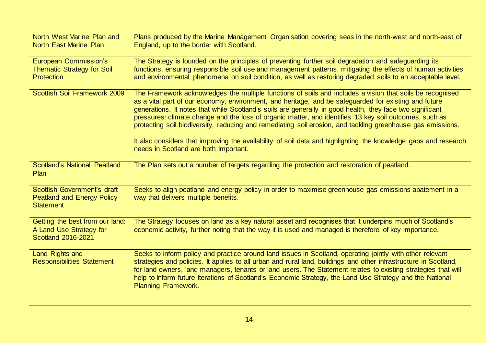| North West Marine Plan and<br><b>North East Marine Plan</b>                             | Plans produced by the Marine Management Organisation covering seas in the north-west and north-east of<br>England, up to the border with Scotland.                                                                                                                                                                                                                                                                                                                                                                                                                                                                                                                                                                   |
|-----------------------------------------------------------------------------------------|----------------------------------------------------------------------------------------------------------------------------------------------------------------------------------------------------------------------------------------------------------------------------------------------------------------------------------------------------------------------------------------------------------------------------------------------------------------------------------------------------------------------------------------------------------------------------------------------------------------------------------------------------------------------------------------------------------------------|
| <b>European Commission's</b><br><b>Thematic Strategy for Soil</b><br><b>Protection</b>  | The Strategy is founded on the principles of preventing further soil degradation and safeguarding its<br>functions, ensuring responsible soil use and management patterns, mitigating the effects of human activities<br>and environmental phenomena on soil condition, as well as restoring degraded soils to an acceptable level.                                                                                                                                                                                                                                                                                                                                                                                  |
| <b>Scottish Soil Framework 2009</b>                                                     | The Framework acknowledges the multiple functions of soils and includes a vision that soils be recognised<br>as a vital part of our economy, environment, and heritage, and be safeguarded for existing and future<br>generations. It notes that while Scotland's soils are generally in good health, they face two significant<br>pressures: climate change and the loss of organic matter, and identifies 13 key soil outcomes, such as<br>protecting soil biodiversity, reducing and remediating soil erosion, and tackling greenhouse gas emissions.<br>It also considers that improving the availability of soil data and highlighting the knowledge gaps and research<br>needs in Scotland are both important. |
| <b>Scotland's National Peatland</b><br><b>Plan</b>                                      | The Plan sets out a number of targets regarding the protection and restoration of peatland.                                                                                                                                                                                                                                                                                                                                                                                                                                                                                                                                                                                                                          |
| Scottish Government's draft<br><b>Peatland and Energy Policy</b><br><b>Statement</b>    | Seeks to align peatland and energy policy in order to maximise greenhouse gas emissions abatement in a<br>way that delivers multiple benefits.                                                                                                                                                                                                                                                                                                                                                                                                                                                                                                                                                                       |
| Getting the best from our land:<br>A Land Use Strategy for<br><b>Scotland 2016-2021</b> | The Strategy focuses on land as a key natural asset and recognises that it underpins much of Scotland's<br>economic activity, further noting that the way it is used and managed is therefore of key importance.                                                                                                                                                                                                                                                                                                                                                                                                                                                                                                     |
| <b>Land Rights and</b><br><b>Responsibilities Statement</b>                             | Seeks to inform policy and practice around land issues in Scotland, operating jointly with other relevant<br>strategies and policies. It applies to all urban and rural land, buildings and other infrastructure in Scotland,<br>for land owners, land managers, tenants or land users. The Statement relates to existing strategies that will<br>help to inform future iterations of Scotland's Economic Strategy, the Land Use Strategy and the National<br><b>Planning Framework.</b>                                                                                                                                                                                                                             |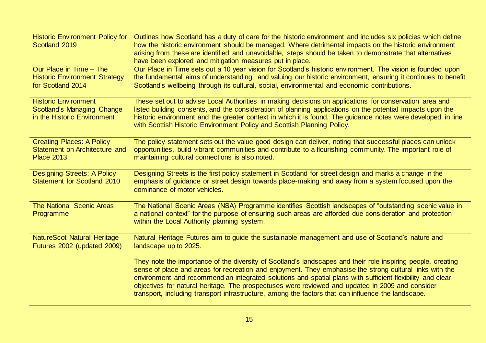| <b>Historic Environment Policy for</b><br>Scotland 2019                                         | Outlines how Scotland has a duty of care for the historic environment and includes six policies which define<br>how the historic environment should be managed. Where detrimental impacts on the historic environment<br>arising from these are identified and unavoidable, steps should be taken to demonstrate that alternatives<br>have been explored and mitigation measures put in place.                                                                                                                                                  |
|-------------------------------------------------------------------------------------------------|-------------------------------------------------------------------------------------------------------------------------------------------------------------------------------------------------------------------------------------------------------------------------------------------------------------------------------------------------------------------------------------------------------------------------------------------------------------------------------------------------------------------------------------------------|
| Our Place in Time - The<br><b>Historic Environment Strategy</b><br>for Scotland 2014            | Our Place in Time sets out a 10 year vision for Scotland's historic environment. The vision is founded upon<br>the fundamental aims of understanding, and valuing our historic environment, ensuring it continues to benefit<br>Scotland's wellbeing through its cultural, social, environmental and economic contributions.                                                                                                                                                                                                                    |
| <b>Historic Environment</b><br><b>Scotland's Managing Change</b><br>in the Historic Environment | These set out to advise Local Authorities in making decisions on applications for conservation area and<br>listed building consents, and the consideration of planning applications on the potential impacts upon the<br>historic environment and the greater context in which it is found. The guidance notes were developed in line<br>with Scottish Historic Environment Policy and Scottish Planning Policy.                                                                                                                                |
| <b>Creating Places: A Policy</b><br>Statement on Architecture and<br><b>Place 2013</b>          | The policy statement sets out the value good design can deliver, noting that successful places can unlock<br>opportunities, build vibrant communities and contribute to a flourishing community. The important role of<br>maintaining cultural connections is also noted.                                                                                                                                                                                                                                                                       |
| <b>Designing Streets: A Policy</b><br><b>Statement for Scotland 2010</b>                        | Designing Streets is the first policy statement in Scotland for street design and marks a change in the<br>emphasis of guidance or street design towards place-making and away from a system focused upon the<br>dominance of motor vehicles.                                                                                                                                                                                                                                                                                                   |
| <b>The National Scenic Areas</b><br>Programme                                                   | The National Scenic Areas (NSA) Programme identifies Scottish landscapes of "outstanding scenic value in<br>a national context" for the purpose of ensuring such areas are afforded due consideration and protection<br>within the Local Authority planning system.                                                                                                                                                                                                                                                                             |
| <b>NatureScot Natural Heritage</b><br>Futures 2002 (updated 2009)                               | Natural Heritage Futures aim to guide the sustainable management and use of Scotland's nature and<br>landscape up to 2025.                                                                                                                                                                                                                                                                                                                                                                                                                      |
|                                                                                                 | They note the importance of the diversity of Scotland's landscapes and their role inspiring people, creating<br>sense of place and areas for recreation and enjoyment. They emphasise the strong cultural links with the<br>environment and recommend an integrated solutions and spatial plans with sufficient flexibility and clear<br>objectives for natural heritage. The prospectuses were reviewed and updated in 2009 and consider<br>transport, including transport infrastructure, among the factors that can influence the landscape. |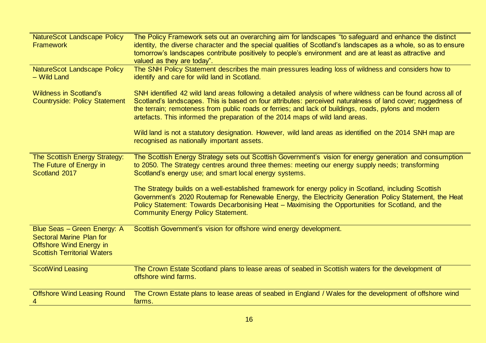| NatureScot Landscape Policy<br><b>Framework</b>                                                                                        | The Policy Framework sets out an overarching aim for landscapes "to safeguard and enhance the distinct<br>identity, the diverse character and the special qualities of Scotland's landscapes as a whole, so as to ensure<br>tomorrow's landscapes contribute positively to people's environment and are at least as attractive and<br>valued as they are today".                                                      |
|----------------------------------------------------------------------------------------------------------------------------------------|-----------------------------------------------------------------------------------------------------------------------------------------------------------------------------------------------------------------------------------------------------------------------------------------------------------------------------------------------------------------------------------------------------------------------|
| NatureScot Landscape Policy<br>- Wild Land                                                                                             | The SNH Policy Statement describes the main pressures leading loss of wildness and considers how to<br>identify and care for wild land in Scotland.                                                                                                                                                                                                                                                                   |
| <b>Wildness in Scotland's</b><br><b>Countryside: Policy Statement</b>                                                                  | SNH identified 42 wild land areas following a detailed analysis of where wildness can be found across all of<br>Scotland's landscapes. This is based on four attributes: perceived naturalness of land cover; ruggedness of<br>the terrain; remoteness from public roads or ferries; and lack of buildings, roads, pylons and modern<br>artefacts. This informed the preparation of the 2014 maps of wild land areas. |
|                                                                                                                                        | Wild land is not a statutory designation. However, wild land areas as identified on the 2014 SNH map are<br>recognised as nationally important assets.                                                                                                                                                                                                                                                                |
| The Scottish Energy Strategy:<br>The Future of Energy in<br>Scotland 2017                                                              | The Scottish Energy Strategy sets out Scottish Government's vision for energy generation and consumption<br>to 2050. The Strategy centres around three themes: meeting our energy supply needs; transforming<br>Scotland's energy use; and smart local energy systems.                                                                                                                                                |
|                                                                                                                                        | The Strategy builds on a well-established framework for energy policy in Scotland, including Scottish<br>Government's 2020 Routemap for Renewable Energy, the Electricity Generation Policy Statement, the Heat<br>Policy Statement: Towards Decarbonising Heat - Maximising the Opportunities for Scotland, and the<br><b>Community Energy Policy Statement.</b>                                                     |
| Blue Seas - Green Energy: A<br><b>Sectoral Marine Plan for</b><br><b>Offshore Wind Energy in</b><br><b>Scottish Territorial Waters</b> | Scottish Government's vision for offshore wind energy development.                                                                                                                                                                                                                                                                                                                                                    |
| <b>ScotWind Leasing</b>                                                                                                                | The Crown Estate Scotland plans to lease areas of seabed in Scottish waters for the development of<br>offshore wind farms.                                                                                                                                                                                                                                                                                            |
| <b>Offshore Wind Leasing Round</b><br>4                                                                                                | The Crown Estate plans to lease areas of seabed in England / Wales for the development of offshore wind<br>farms.                                                                                                                                                                                                                                                                                                     |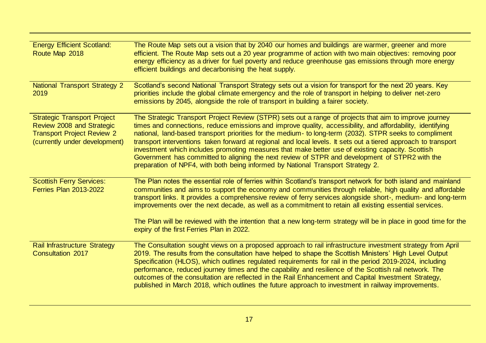| <b>Energy Efficient Scotland:</b><br>Route Map 2018                                                                                   | The Route Map sets out a vision that by 2040 our homes and buildings are warmer, greener and more<br>efficient. The Route Map sets out a 20 year programme of action with two main objectives: removing poor<br>energy efficiency as a driver for fuel poverty and reduce greenhouse gas emissions through more energy<br>efficient buildings and decarbonising the heat supply.                                                                                                                                                                                                                                                                                                                                                           |
|---------------------------------------------------------------------------------------------------------------------------------------|--------------------------------------------------------------------------------------------------------------------------------------------------------------------------------------------------------------------------------------------------------------------------------------------------------------------------------------------------------------------------------------------------------------------------------------------------------------------------------------------------------------------------------------------------------------------------------------------------------------------------------------------------------------------------------------------------------------------------------------------|
| <b>National Transport Strategy 2</b><br>2019                                                                                          | Scotland's second National Transport Strategy sets out a vision for transport for the next 20 years. Key<br>priorities include the global climate emergency and the role of transport in helping to deliver net-zero<br>emissions by 2045, alongside the role of transport in building a fairer society.                                                                                                                                                                                                                                                                                                                                                                                                                                   |
| <b>Strategic Transport Project</b><br>Review 2008 and Strategic<br><b>Transport Project Review 2</b><br>(currently under development) | The Strategic Transport Project Review (STPR) sets out a range of projects that aim to improve journey<br>times and connections, reduce emissions and improve quality, accessibility, and affordability, identifying<br>national, land-based transport priorities for the medium- to long-term (2032). STPR seeks to compliment<br>transport interventions taken forward at regional and local levels. It sets out a tiered approach to transport<br>investment which includes promoting measures that make better use of existing capacity. Scottish<br>Government has committed to aligning the next review of STPR and development of STPR2 with the<br>preparation of NPF4, with both being informed by National Transport Strategy 2. |
| <b>Scottish Ferry Services:</b><br><b>Ferries Plan 2013-2022</b>                                                                      | The Plan notes the essential role of ferries within Scotland's transport network for both island and mainland<br>communities and aims to support the economy and communities through reliable, high quality and affordable<br>transport links. It provides a comprehensive review of ferry services alongside short-, medium- and long-term<br>improvements over the next decade, as well as a commitment to retain all existing essential services.<br>The Plan will be reviewed with the intention that a new long-term strategy will be in place in good time for the<br>expiry of the first Ferries Plan in 2022.                                                                                                                      |
| <b>Rail Infrastructure Strategy</b><br><b>Consultation 2017</b>                                                                       | The Consultation sought views on a proposed approach to rail infrastructure investment strategy from April<br>2019. The results from the consultation have helped to shape the Scottish Ministers' High Level Output<br>Specification (HLOS), which outlines regulated requirements for rail in the period 2019-2024, including<br>performance, reduced journey times and the capability and resilience of the Scottish rail network. The<br>outcomes of the consultation are reflected in the Rail Enhancement and Capital Investment Strategy,<br>published in March 2018, which outlines the future approach to investment in railway improvements.                                                                                     |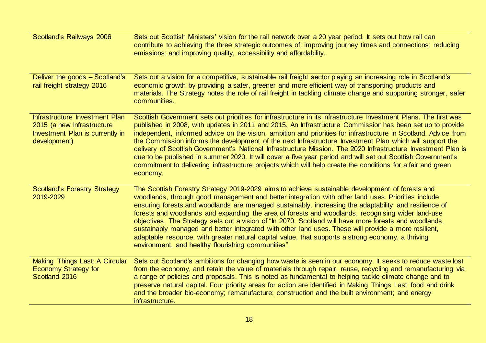| Scotland's Railways 2006                                                                                        | Sets out Scottish Ministers' vision for the rail network over a 20 year period. It sets out how rail can<br>contribute to achieving the three strategic outcomes of: improving journey times and connections; reducing<br>emissions; and improving quality, accessibility and affordability.                                                                                                                                                                                                                                                                                                                                                                                                                                                                                                                            |
|-----------------------------------------------------------------------------------------------------------------|-------------------------------------------------------------------------------------------------------------------------------------------------------------------------------------------------------------------------------------------------------------------------------------------------------------------------------------------------------------------------------------------------------------------------------------------------------------------------------------------------------------------------------------------------------------------------------------------------------------------------------------------------------------------------------------------------------------------------------------------------------------------------------------------------------------------------|
| Deliver the goods - Scotland's<br>rail freight strategy 2016                                                    | Sets out a vision for a competitive, sustainable rail freight sector playing an increasing role in Scotland's<br>economic growth by providing a safer, greener and more efficient way of transporting products and<br>materials. The Strategy notes the role of rail freight in tackling climate change and supporting stronger, safer<br>communities.                                                                                                                                                                                                                                                                                                                                                                                                                                                                  |
| Infrastructure Investment Plan<br>2015 (a new Infrastructure<br>Investment Plan is currently in<br>development) | Scottish Government sets out priorities for infrastructure in its Infrastructure Investment Plans. The first was<br>published in 2008, with updates in 2011 and 2015. An Infrastructure Commission has been set up to provide<br>independent, informed advice on the vision, ambition and priorities for infrastructure in Scotland. Advice from<br>the Commission informs the development of the next Infrastructure Investment Plan which will support the<br>delivery of Scottish Government's National Infrastructure Mission. The 2020 Infrastructure Investment Plan is<br>due to be published in summer 2020. It will cover a five year period and will set out Scottish Government's<br>commitment to delivering infrastructure projects which will help create the conditions for a fair and green<br>economy. |
| <b>Scotland's Forestry Strategy</b><br>2019-2029                                                                | The Scottish Forestry Strategy 2019-2029 aims to achieve sustainable development of forests and<br>woodlands, through good management and better integration with other land uses. Priorities include<br>ensuring forests and woodlands are managed sustainably, increasing the adaptability and resilience of<br>forests and woodlands and expanding the area of forests and woodlands, recognising wider land-use<br>objectives. The Strategy sets out a vision of "In 2070, Scotland will have more forests and woodlands,<br>sustainably managed and better integrated with other land uses. These will provide a more resilient,<br>adaptable resource, with greater natural capital value, that supports a strong economy, a thriving<br>environment, and healthy flourishing communities".                       |
| Making Things Last: A Circular<br><b>Economy Strategy for</b><br>Scotland 2016                                  | Sets out Scotland's ambitions for changing how waste is seen in our economy. It seeks to reduce waste lost<br>from the economy, and retain the value of materials through repair, reuse, recycling and remanufacturing via<br>a range of policies and proposals. This is noted as fundamental to helping tackle climate change and to<br>preserve natural capital. Four priority areas for action are identified in Making Things Last: food and drink<br>and the broader bio-economy; remanufacture; construction and the built environment; and energy<br>infrastructure.                                                                                                                                                                                                                                             |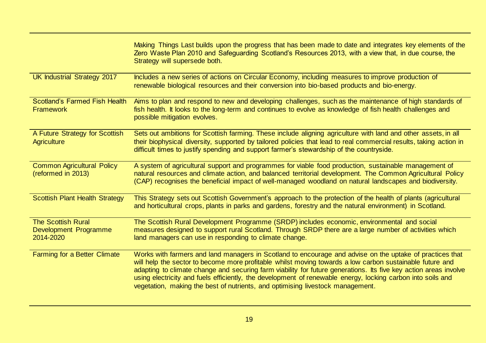|                                                                 | Making Things Last builds upon the progress that has been made to date and integrates key elements of the<br>Zero Waste Plan 2010 and Safeguarding Scotland's Resources 2013, with a view that, in due course, the<br>Strategy will supersede both.                                                                                                                                                                                                                                                                                       |
|-----------------------------------------------------------------|-------------------------------------------------------------------------------------------------------------------------------------------------------------------------------------------------------------------------------------------------------------------------------------------------------------------------------------------------------------------------------------------------------------------------------------------------------------------------------------------------------------------------------------------|
| UK Industrial Strategy 2017                                     | Includes a new series of actions on Circular Economy, including measures to improve production of<br>renewable biological resources and their conversion into bio-based products and bio-energy.                                                                                                                                                                                                                                                                                                                                          |
| <b>Scotland's Farmed Fish Health</b><br><b>Framework</b>        | Aims to plan and respond to new and developing challenges, such as the maintenance of high standards of<br>fish health. It looks to the long-term and continues to evolve as knowledge of fish health challenges and<br>possible mitigation evolves.                                                                                                                                                                                                                                                                                      |
| A Future Strategy for Scottish<br><b>Agriculture</b>            | Sets out ambitions for Scottish farming. These include aligning agriculture with land and other assets, in all<br>their biophysical diversity, supported by tailored policies that lead to real commercial results, taking action in<br>difficult times to justify spending and support farmer's stewardship of the countryside.                                                                                                                                                                                                          |
| <b>Common Agricultural Policy</b><br>(reformed in 2013)         | A system of agricultural support and programmes for viable food production, sustainable management of<br>natural resources and climate action, and balanced territorial development. The Common Agricultural Policy<br>(CAP) recognises the beneficial impact of well-managed woodland on natural landscapes and biodiversity.                                                                                                                                                                                                            |
| <b>Scottish Plant Health Strategy</b>                           | This Strategy sets out Scottish Government's approach to the protection of the health of plants (agricultural<br>and horticultural crops, plants in parks and gardens, forestry and the natural environment) in Scotland.                                                                                                                                                                                                                                                                                                                 |
| <b>The Scottish Rural</b><br>Development Programme<br>2014-2020 | The Scottish Rural Development Programme (SRDP) includes economic, environmental and social<br>measures designed to support rural Scotland. Through SRDP there are a large number of activities which<br>land managers can use in responding to climate change.                                                                                                                                                                                                                                                                           |
| <b>Farming for a Better Climate</b>                             | Works with farmers and land managers in Scotland to encourage and advise on the uptake of practices that<br>will help the sector to become more profitable whilst moving towards a low carbon sustainable future and<br>adapting to climate change and securing farm viability for future generations. Its five key action areas involve<br>using electricity and fuels efficiently, the development of renewable energy, locking carbon into soils and<br>vegetation, making the best of nutrients, and optimising livestock management. |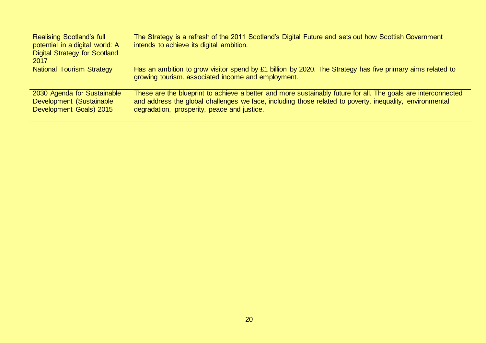| <b>Realising Scotland's full</b><br>potential in a digital world: A<br><b>Digital Strategy for Scotland</b><br>2017 | The Strategy is a refresh of the 2011 Scotland's Digital Future and sets out how Scottish Government<br>intends to achieve its digital ambition.                                                                                                                         |
|---------------------------------------------------------------------------------------------------------------------|--------------------------------------------------------------------------------------------------------------------------------------------------------------------------------------------------------------------------------------------------------------------------|
| <b>National Tourism Strategy</b>                                                                                    | Has an ambition to grow visitor spend by £1 billion by 2020. The Strategy has five primary aims related to<br>growing tourism, associated income and employment.                                                                                                         |
| 2030 Agenda for Sustainable<br>Development (Sustainable<br>Development Goals) 2015                                  | These are the blueprint to achieve a better and more sustainably future for all. The goals are interconnected<br>and address the global challenges we face, including those related to poverty, inequality, environmental<br>degradation, prosperity, peace and justice. |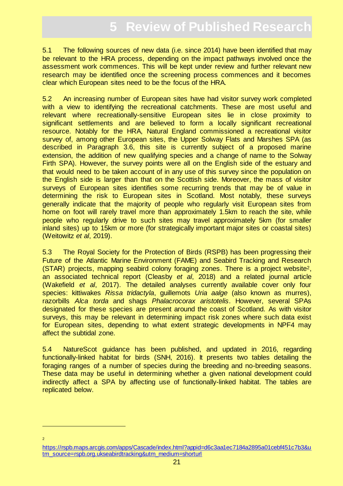# **5** Review of Published Researc

<span id="page-20-0"></span>5.1 The following sources of new data (i.e. since 2014) have been identified that may be relevant to the HRA process, depending on the impact pathways involved once the assessment work commences. This will be kept under review and further relevant new research may be identified once the screening process commences and it becomes clear which European sites need to be the focus of the HRA.

5.2 An increasing number of European sites have had visitor survey work completed with a view to identifying the recreational catchments. These are most useful and relevant where recreationally-sensitive European sites lie in close proximity to significant settlements and are believed to form a locally significant recreational resource. Notably for the HRA, Natural England commissioned a recreational visitor survey of, among other European sites, the Upper Solway Flats and Marshes SPA (as described in Paragraph 3.6, this site is currently subject of a proposed marine extension, the addition of new qualifying species and a change of name to the Solway Firth SPA). However, the survey points were all on the English side of the estuary and that would need to be taken account of in any use of this survey since the population on the English side is larger than that on the Scottish side. Moreover, the mass of visitor surveys of European sites identifies some recurring trends that may be of value in determining the risk to European sites in Scotland. Most notably, these surveys generally indicate that the majority of people who regularly visit European sites from home on foot will rarely travel more than approximately 1.5km to reach the site, while people who regularly drive to such sites may travel approximately 5km (for smaller inland sites) up to 15km or more (for strategically important major sites or coastal sites) (Weitowitz *et al*, 2019).

5.3 The Royal Society for the Protection of Birds (RSPB) has been progressing their Future of the Atlantic Marine Environment (FAME) and Seabird Tracking and Research (STAR) projects, mapping seabird colony foraging zones. There is a project website2, an associated technical report (Cleasby *et al*, 2018) and a related journal article (Wakefield *et al*, 2017). The detailed analyses currently available cover only four species: kittiwakes *Rissa tridactyla*, guillemots *Uria aalge* (also known as murres), razorbills *Alca torda* and shags *Phalacrocorax aristotelis*. However, several SPAs designated for these species are present around the coast of Scotland. As with visitor surveys, this may be relevant in determining impact risk zones where such data exist for European sites, depending to what extent strategic developments in NPF4 may affect the subtidal zone.

5.4 NatureScot guidance has been published, and updated in 2016, regarding functionally-linked habitat for birds (SNH, 2016). It presents two tables detailing the foraging ranges of a number of species during the breeding and no-breeding seasons. These data may be useful in determining whether a given national development could indirectly affect a SPA by affecting use of functionally-linked habitat. The tables are replicated below.

[https://rspb.maps.arcgis.com/apps/Cascade/index.html?appid=d6c3aa1ec7184a2895a01cebf451c7b3&u](https://rspb.maps.arcgis.com/apps/Cascade/index.html?appid=d6c3aa1ec7184a2895a01cebf451c7b3&utm_source=rspb.org.ukseabirdtracking&utm_medium=shorturl) [tm\\_source=rspb.org.ukseabirdtracking&utm\\_medium=shorturl](https://rspb.maps.arcgis.com/apps/Cascade/index.html?appid=d6c3aa1ec7184a2895a01cebf451c7b3&utm_source=rspb.org.ukseabirdtracking&utm_medium=shorturl)

2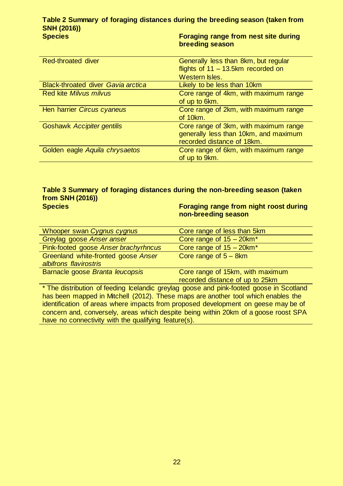#### **Table 2 Summary of foraging distances during the breeding season (taken from SNH (2016)) Species Foraging range from nest site during**

**breeding season**

| Red-throated diver                        | Generally less than 8km, but regular  |
|-------------------------------------------|---------------------------------------|
|                                           | flights of $11 - 13.5$ km recorded on |
|                                           | Western Isles.                        |
| <b>Black-throated diver Gavia arctica</b> | Likely to be less than 10km           |
| Red kite Milvus milvus                    | Core range of 4km, with maximum range |
|                                           | of up to 6km.                         |
| Hen harrier Circus cyaneus                | Core range of 2km, with maximum range |
|                                           | of 10km.                              |
| <b>Goshawk Accipiter gentilis</b>         | Core range of 3km, with maximum range |
|                                           | generally less than 10km, and maximum |
|                                           | recorded distance of 18km.            |
| Golden eagle Aquila chrysaetos            | Core range of 6km, with maximum range |
|                                           | of up to 9km.                         |

# **Table 3 Summary of foraging distances during the non-breeding season (taken from SNH (2016))**

**Species Foraging range from night roost during non-breeding season**

| Whooper swan Cygnus cygnus                                                              | Core range of less than 5km                                         |
|-----------------------------------------------------------------------------------------|---------------------------------------------------------------------|
| Greylag goose Anser anser                                                               | Core range of $15 - 20$ km <sup>*</sup>                             |
| Pink-footed goose Anser brachyrhncus                                                    | Core range of $15 - 20$ km <sup>*</sup>                             |
| Greenland white-fronted goose Anser<br>albifrons flavirostris                           | Core range of $5 - 8km$                                             |
| Barnacle goose Branta leucopsis                                                         | Core range of 15km, with maximum<br>recorded distance of up to 25km |
| * The distribution of feeding Icelandic greylag goose and pink-footed goose in Scotland |                                                                     |

has been mapped in Mitchell (2012). These maps are another tool which enables the identification of areas where impacts from proposed development on geese may be of concern and, conversely, areas which despite being within 20km of a goose roost SPA have no connectivity with the qualifying feature(s).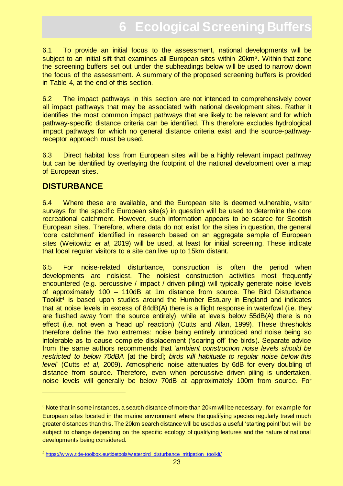# **6 Ecological Screening Buffer**

<span id="page-22-0"></span>6.1 To provide an initial focus to the assessment, national developments will be subject to an initial sift that examines all European sites within 20km<sup>3</sup>. Within that zone the screening buffers set out under the subheadings below will be used to narrow down the focus of the assessment. A summary of the proposed screening buffers is provided in Table 4, at the end of this section.

6.2 The impact pathways in this section are not intended to comprehensively cover all impact pathways that may be associated with national development sites. Rather it identifies the most common impact pathways that are likely to be relevant and for which pathway-specific distance criteria can be identified. This therefore excludes hydrological impact pathways for which no general distance criteria exist and the source-pathwayreceptor approach must be used.

6.3 Direct habitat loss from European sites will be a highly relevant impact pathway but can be identified by overlaying the footprint of the national development over a map of European sites.

# **DISTURBANCE**

6.4 Where these are available, and the European site is deemed vulnerable, visitor surveys for the specific European site(s) in question will be used to determine the core recreational catchment. However, such information appears to be scarce for Scottish European sites. Therefore, where data do not exist for the sites in question, the general 'core catchment' identified in research based on an aggregate sample of European sites (Weitowitz *et al*, 2019) will be used, at least for initial screening. These indicate that local regular visitors to a site can live up to 15km distant.

6.5 For noise-related disturbance, construction is often the period when developments are noisiest. The noisiest construction activities most frequently encountered (e.g. percussive / impact / driven piling) will typically generate noise levels of approximately 100 – 110dB at 1m distance from source. The Bird Disturbance Toolkit<sup>4</sup> is based upon studies around the Humber Estuary in England and indicates that at noise levels in excess of 84dB(A) there is a flight response in waterfowl (i.e. they are flushed away from the source entirely), while at levels below 55dB(A) there is no effect (i.e. not even a 'head up' reaction) (Cutts and Allan, 1999). These thresholds therefore define the two extremes: noise being entirely unnoticed and noise being so intolerable as to cause complete displacement ('scaring off' the birds). Separate advice from the same authors recommends that '*ambient construction noise levels should be restricted to below 70dBA* [at the bird]; *birds will habituate to regular noise below this level*' (Cutts *et al*, 2009). Atmospheric noise attenuates by 6dB for every doubling of distance from source. Therefore, even when percussive driven piling is undertaken, noise levels will generally be below 70dB at approximately 100m from source. For

<sup>&</sup>lt;sup>3</sup> Note that in some instances, a search distance of more than 20km will be necessary, for example for European sites located in the marine environment where the qualifying species regularly travel much greater distances than this. The 20km search distance will be used as a useful 'starting point' but will be subject to change depending on the specific ecology of qualifying features and the nature of national developments being considered.

<sup>&</sup>lt;sup>4</sup> https://www.tide-toolbox.eu/tidetools/w aterbird\_disturbance\_mitigation\_toolkit/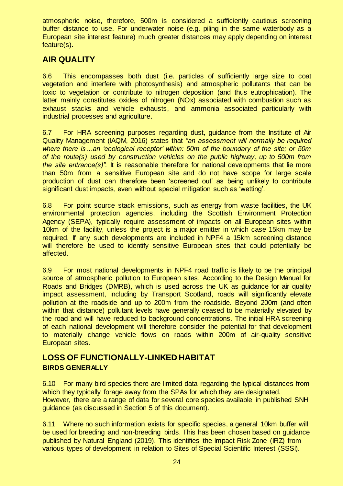atmospheric noise, therefore, 500m is considered a sufficiently cautious screening buffer distance to use. For underwater noise (e.g. piling in the same waterbody as a European site interest feature) much greater distances may apply depending on interest feature(s).

# **AIR QUALITY**

6.6 This encompasses both dust (i.e. particles of sufficiently large size to coat vegetation and interfere with photosynthesis) and atmospheric pollutants that can be toxic to vegetation or contribute to nitrogen deposition (and thus eutrophication). The latter mainly constitutes oxides of nitrogen (NOx) associated with combustion such as exhaust stacks and vehicle exhausts, and ammonia associated particularly with industrial processes and agriculture.

6.7 For HRA screening purposes regarding dust, guidance from the Institute of Air Quality Management (IAQM, 2016) states that *"an assessment will normally be required where there is…an 'ecological receptor' within: 50m of the boundary of the site; or 50m of the route(s) used by construction vehicles on the public highway, up to 500m from the site entrance(s)".* It is reasonable therefore for national developments that lie more than 50m from a sensitive European site and do not have scope for large scale production of dust can therefore been 'screened out' as being unlikely to contribute significant dust impacts, even without special mitigation such as 'wetting'.

6.8 For point source stack emissions, such as energy from waste facilities, the UK environmental protection agencies, including the Scottish Environment Protection Agency (SEPA), typically require assessment of impacts on all European sites within 10km of the facility, unless the project is a major emitter in which case 15km may be required. If any such developments are included in NPF4 a 15km screening distance will therefore be used to identify sensitive European sites that could potentially be affected.

6.9 For most national developments in NPF4 road traffic is likely to be the principal source of atmospheric pollution to European sites. According to the Design Manual for Roads and Bridges (DMRB), which is used across the UK as guidance for air quality impact assessment, including by Transport Scotland, roads will significantly elevate pollution at the roadside and up to 200m from the roadside. Beyond 200m (and often within that distance) pollutant levels have generally ceased to be materially elevated by the road and will have reduced to background concentrations. The initial HRA screening of each national development will therefore consider the potential for that development to materially change vehicle flows on roads within 200m of air-quality sensitive European sites.

# **LOSS OF FUNCTIONALLY-LINKED HABITAT BIRDS GENERALLY**

6.10 For many bird species there are limited data regarding the typical distances from which they typically forage away from the SPAs for which they are designated. However, there are a range of data for several core species available in published SNH guidance (as discussed in Section 5 of this document).

6.11 Where no such information exists for specific species, a general 10km buffer will be used for breeding and non-breeding birds. This has been chosen based on guidance published by Natural England (2019). This identifies the Impact Risk Zone (IRZ) from various types of development in relation to Sites of Special Scientific Interest (SSSI).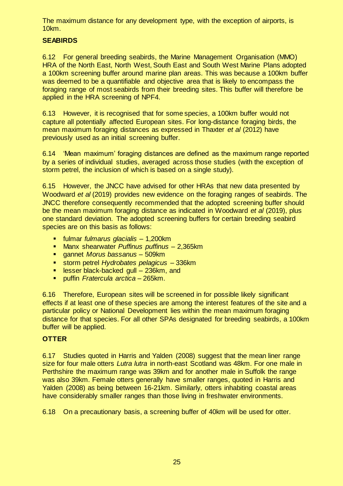The maximum distance for any development type, with the exception of airports, is 10km.

#### **SEABIRDS**

6.12 For general breeding seabirds, the Marine Management Organisation (MMO) HRA of the North East, North West, South East and South West Marine Plans adopted a 100km screening buffer around marine plan areas. This was because a 100km buffer was deemed to be a quantifiable and objective area that is likely to encompass the foraging range of most seabirds from their breeding sites. This buffer will therefore be applied in the HRA screening of NPF4.

6.13 However, it is recognised that for some species, a 100km buffer would not capture all potentially affected European sites. For long-distance foraging birds, the mean maximum foraging distances as expressed in Thaxter *et al* (2012) have previously used as an initial screening buffer.

6.14 'Mean maximum' foraging distances are defined as the maximum range reported by a series of individual studies, averaged across those studies (with the exception of storm petrel, the inclusion of which is based on a single study).

6.15 However, the JNCC have advised for other HRAs that new data presented by Woodward *et al* (2019) provides new evidence on the foraging ranges of seabirds. The JNCC therefore consequently recommended that the adopted screening buffer should be the mean maximum foraging distance as indicated in Woodward *et al* (2019), plus one standard deviation. The adopted screening buffers for certain breeding seabird species are on this basis as follows:

- fulmar *fulmarus glacialis*  1,200km
- Manx shearwater *Puffinus puffinus*  2,365km
- gannet *Morus bassanus*  509km
- storm petrel *Hydrobates pelagicus* 336km
- **Example 1** lesser black-backed gull 236km, and
- puffin *Fratercula arctica*  265km.

6.16 Therefore, European sites will be screened in for possible likely significant effects if at least one of these species are among the interest features of the site and a particular policy or National Development lies within the mean maximum foraging distance for that species. For all other SPAs designated for breeding seabirds, a 100km buffer will be applied.

#### **OTTER**

6.17 Studies quoted in Harris and Yalden (2008) suggest that the mean liner range size for four male otters *Lutra lutra* in north-east Scotland was 48km. For one male in Perthshire the maximum range was 39km and for another male in Suffolk the range was also 39km. Female otters generally have smaller ranges, quoted in Harris and Yalden (2008) as being between 16-21km. Similarly, otters inhabiting coastal areas have considerably smaller ranges than those living in freshwater environments.

6.18 On a precautionary basis, a screening buffer of 40km will be used for otter.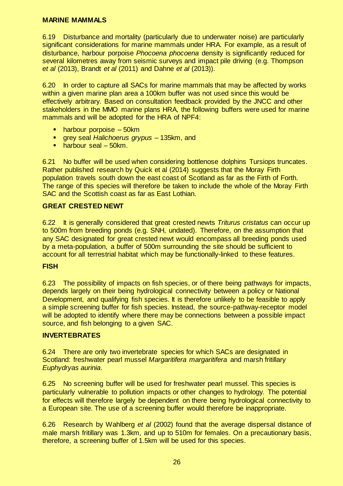#### **MARINE MAMMALS**

6.19 Disturbance and mortality (particularly due to underwater noise) are particularly significant considerations for marine mammals under HRA. For example, as a result of disturbance, harbour porpoise *Phocoena phocoena* density is significantly reduced for several kilometres away from seismic surveys and impact pile driving (e.g. Thompson *et al* (2013), Brandt *et al* (2011) and Dahne *et al* (2013)).

6.20 In order to capture all SACs for marine mammals that may be affected by works within a given marine plan area a 100km buffer was not used since this would be effectively arbitrary. Based on consultation feedback provided by the JNCC and other stakeholders in the MMO marine plans HRA, the following buffers were used for marine mammals and will be adopted for the HRA of NPF4:

- harbour porpoise 50km
- grey seal *Halichoerus grypus* 135km, and
- **harbour seal 50km.**

6.21 No buffer will be used when considering bottlenose dolphins Tursiops truncates. Rather published research by Quick et al (2014) suggests that the Moray Firth population travels south down the east coast of Scotland as far as the Firth of Forth. The range of this species will therefore be taken to include the whole of the Moray Firth SAC and the Scottish coast as far as East Lothian.

#### **GREAT CRESTED NEWT**

6.22 It is generally considered that great crested newts *Triturus cristatus* can occur up to 500m from breeding ponds (e.g. SNH, undated). Therefore, on the assumption that any SAC designated for great crested newt would encompass all breeding ponds used by a meta-population, a buffer of 500m surrounding the site should be sufficient to account for all terrestrial habitat which may be functionally-linked to these features.

#### **FISH**

6.23 The possibility of impacts on fish species, or of there being pathways for impacts, depends largely on their being hydrological connectivity between a policy or National Development, and qualifying fish species. It is therefore unlikely to be feasible to apply a simple screening buffer for fish species. Instead, the source-pathway-receptor model will be adopted to identify where there may be connections between a possible impact source, and fish belonging to a given SAC.

#### **INVERTEBRATES**

6.24 There are only two invertebrate species for which SACs are designated in Scotland: freshwater pearl mussel *Margaritifera margaritifera* and marsh fritillary *Euphydryas aurinia*.

6.25 No screening buffer will be used for freshwater pearl mussel. This species is particularly vulnerable to pollution impacts or other changes to hydrology. The potential for effects will therefore largely be dependent on there being hydrological connectivity to a European site. The use of a screening buffer would therefore be inappropriate.

6.26 Research by Wahlberg *et al* (2002) found that the average dispersal distance of male marsh fritillary was 1.3km, and up to 510m for females. On a precautionary basis, therefore, a screening buffer of 1.5km will be used for this species.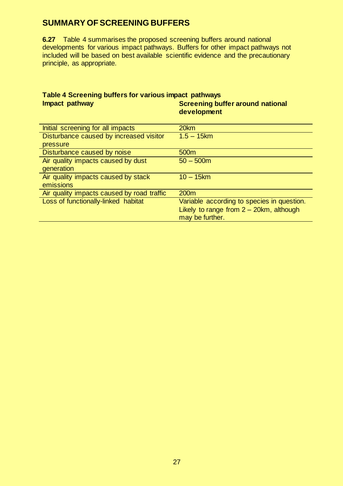# **SUMMARY OF SCREENING BUFFERS**

**6.27** Table 4 summarises the proposed screening buffers around national developments for various impact pathways. Buffers for other impact pathways not included will be based on best available scientific evidence and the precautionary principle, as appropriate.

#### **Table 4 Screening buffers for various impact pathways Impact pathway <b>Screening buffer** around national **Screening** buffer around national **development**

| Initial screening for all impacts          | 20km                                       |
|--------------------------------------------|--------------------------------------------|
| Disturbance caused by increased visitor    | $1.5 - 15km$                               |
| pressure                                   |                                            |
| Disturbance caused by noise                | 500m                                       |
| Air quality impacts caused by dust         | $50 - 500m$                                |
| generation                                 |                                            |
| Air quality impacts caused by stack        | $10 - 15$ km                               |
| emissions                                  |                                            |
| Air quality impacts caused by road traffic | 200 <sub>m</sub>                           |
| Loss of functionally-linked habitat        | Variable according to species in question. |
|                                            | Likely to range from $2 - 20$ km, although |
|                                            | may be further.                            |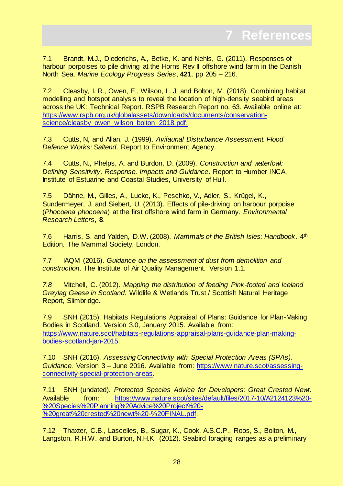<span id="page-27-0"></span>7.1 Brandt, M.J., Diederichs, A., Betke, K. and Nehls, G. (2011). Responses of harbour porpoises to pile driving at the Horns Rev II offshore wind farm in the Danish North Sea. *Marine Ecology Progress Series*, **421**, pp 205 – 216.

7.2 Cleasby, I. R., Owen, E., Wilson, L. J. and Bolton, M. (2018). Combining habitat modelling and hotspot analysis to reveal the location of high-density seabird areas across the UK: Technical Report. RSPB Research Report no. 63. Available online at: [https://www.rspb.org.uk/globalassets/downloads/documents/conservation](https://www.rspb.org.uk/globalassets/downloads/documents/conservation-science/cleasby_owen_wilson_bolton_2018.pdf)science/cleasby\_owen\_wilson\_bolton\_2018.pdf.

7.3 Cutts, N, and Allan, J. (1999). *Avifaunal Disturbance Assessment. Flood Defence Works: Saltend*. Report to Environment Agency.

7.4 Cutts, N., Phelps, A. and Burdon, D. (2009). *Construction and waterfowl: Defining Sensitivity, Response, Impacts and Guidance*. Report to Humber INCA, Institute of Estuarine and Coastal Studies, University of Hull.

7.5 Dähne, M., Gilles, A., Lucke, K., Peschko, V., Adler, S., Krügel, K., Sundermeyer, J. and Siebert, U. (2013). Effects of pile-driving on harbour porpoise (*Phocoena phocoena*) at the first offshore wind farm in Germany. *Environmental Research Letters*, **8**.

7.6 Harris, S. and Yalden, D.W. (2008). *Mammals of the British Isles: Handbook*. 4th Edition. The Mammal Society, London.

7.7 IAQM (2016). *Guidance on the assessment of dust from demolition and construction*. The Institute of Air Quality Management. Version 1.1.

*7.8* Mitchell, C. (2012). *Mapping the distribution of feeding Pink-footed and Iceland Greylag Geese in Scotland*. Wildlife & Wetlands Trust / Scottish Natural Heritage Report, Slimbridge.

7.9 SNH (2015). Habitats Regulations Appraisal of Plans: Guidance for Plan-Making Bodies in Scotland. Version 3.0, January 2015. Available from: [https://www.nature.scot/habitats-regulations-appraisal-plans-guidance-plan-making](https://www.nature.scot/habitats-regulations-appraisal-plans-guidance-plan-making-bodies-scotland-jan-2015)[bodies-scotland-jan-2015.](https://www.nature.scot/habitats-regulations-appraisal-plans-guidance-plan-making-bodies-scotland-jan-2015)

7.10 SNH (2016). *Assessing Connectivity with Special Protection Areas (SPAs). Guidance.* Version 3 – June 2016. Available from: [https://www.nature.scot/assessing](https://www.nature.scot/assessing-connectivity-special-protection-areas)[connectivity-special-protection-areas.](https://www.nature.scot/assessing-connectivity-special-protection-areas)

7.11 SNH (undated). *Protected Species Advice for Developers: Great Crested Newt*. Available from: [https://www.nature.scot/sites/default/files/2017-10/A2124123%20-](https://www.nature.scot/sites/default/files/2017-10/A2124123%20-%20Species%20Planning%20Advice%20Project%20-%20great%20crested%20newt%20-%20FINAL.pdf) [%20Species%20Planning%20Advice%20Project%20-](https://www.nature.scot/sites/default/files/2017-10/A2124123%20-%20Species%20Planning%20Advice%20Project%20-%20great%20crested%20newt%20-%20FINAL.pdf) [%20great%20crested%20newt%20-%20FINAL.pdf.](https://www.nature.scot/sites/default/files/2017-10/A2124123%20-%20Species%20Planning%20Advice%20Project%20-%20great%20crested%20newt%20-%20FINAL.pdf) 

7.12 Thaxter, C.B., Lascelles, B., Sugar, K., Cook, A.S.C.P., Roos, S., Bolton, M., Langston, R.H.W. and Burton, N.H.K. (2012). Seabird foraging ranges as a preliminary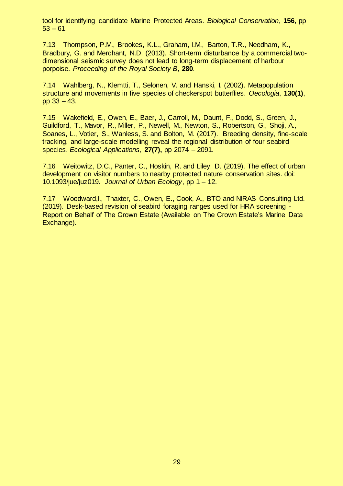tool for identifying candidate Marine Protected Areas. *Biological Conservation*, **156**, pp  $53 - 61.$ 

7.13 Thompson, P.M., Brookes, K.L., Graham, I.M., Barton, T.R., Needham, K., Bradbury, G. and Merchant, N.D. (2013). Short-term disturbance by a commercial twodimensional seismic survey does not lead to long-term displacement of harbour porpoise. *Proceeding of the Royal Society B*, **280**.

7.14 Wahlberg, N., Klemtti, T., Selonen, V. and Hanski, I. (2002). Metapopulation structure and movements in five species of checkerspot butterflies. *Oecologia*, **130(1)**, pp 33 – 43.

7.15 Wakefield, E., Owen, E., Baer, J., Carroll, M., Daunt, F., Dodd, S., Green, J., Guildford, T., Mavor, R., Miller, P., Newell, M., Newton, S., Robertson, G., Shoji, A., Soanes, L., Votier, S., Wanless, S. and Bolton, M. (2017). Breeding density, fine-scale tracking, and large-scale modelling reveal the regional distribution of four seabird species. *Ecological Applications*, **27(7),** pp 2074 – 2091.

7.16 Weitowitz, D.C., Panter, C., Hoskin, R. and Liley, D. (2019). The effect of urban development on visitor numbers to nearby protected nature conservation sites. doi: 10.1093/jue/juz019. *Journal of Urban Ecology*, pp 1 – 12.

7.17 Woodward,I., Thaxter, C., Owen, E., Cook, A., BTO and NIRAS Consulting Ltd. (2019). Desk-based revision of seabird foraging ranges used for HRA screening - Report on Behalf of The Crown Estate (Available on The Crown Estate's Marine Data Exchange).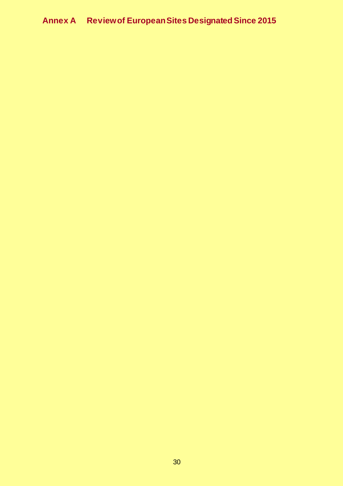# <span id="page-29-0"></span>**Annex A Review of European Sites Designated Since 2015**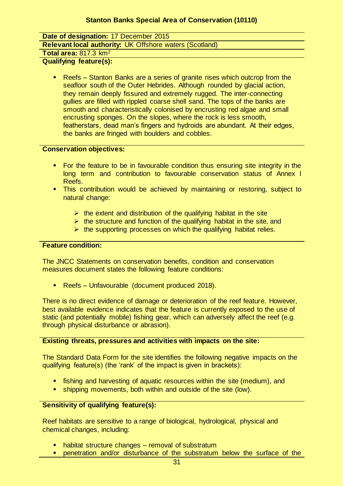#### **Stanton Banks Special Area of Conservation (10110)**

**Date of designation:** 17 December 2015

**Relevant local authority:** UK Offshore waters (Scotland)

#### **Total area:** 817.3 km<sup>2</sup>

**Qualifying feature(s):** 

■ Reefs – Stanton Banks are a series of granite rises which outcrop from the seafloor south of the Outer Hebrides. Although rounded by glacial action, they remain deeply fissured and extremely rugged. The inter-connecting gullies are filled with rippled coarse shell sand. The tops of the banks are smooth and characteristically colonised by encrusting red algae and small encrusting sponges. On the slopes, where the rock is less smooth, featherstars, dead man's fingers and hydroids are abundant. At their edges, the banks are fringed with boulders and cobbles.

#### **Conservation objectives:**

- For the feature to be in favourable condition thus ensuring site integrity in the long term and contribution to favourable conservation status of Annex I Reefs.
- **This contribution would be achieved by maintaining or restoring, subject to** natural change:
	- $\triangleright$  the extent and distribution of the qualifying habitat in the site
	- $\triangleright$  the structure and function of the qualifying habitat in the site, and
	- $\triangleright$  the supporting processes on which the qualifying habitat relies.

#### **Feature condition:**

The JNCC Statements on conservation benefits, condition and conservation measures document states the following feature conditions:

**Reefs – Unfavourable (document produced 2018).** 

There is no direct evidence of damage or deterioration of the reef feature. However, best available evidence indicates that the feature is currently exposed to the use of static (and potentially mobile) fishing gear, which can adversely affect the reef (e.g. through physical disturbance or abrasion).

#### **Existing threats, pressures and activities with impacts on the site:**

The Standard Data Form for the site identifies the following negative impacts on the qualifying feature(s) (the 'rank' of the impact is given in brackets):

- fishing and harvesting of aquatic resources within the site (medium), and
- **shipping movements, both within and outside of the site (low).**

#### **Sensitivity of qualifying feature(s):**

Reef habitats are sensitive to a range of biological, hydrological, physical and chemical changes, including:

- habitat structure changes removal of substratum
- penetration and/or disturbance of the substratum below the surface of the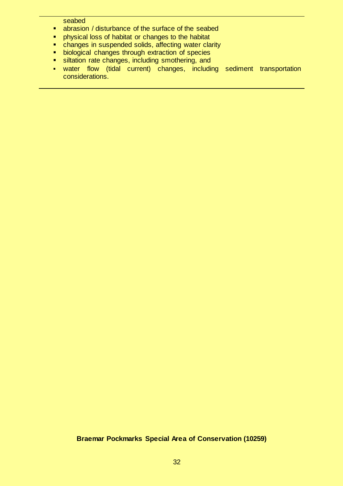seabed

- abrasion / disturbance of the surface of the seabed
- **Physical loss of habitat or changes to the habitat**
- changes in suspended solids, affecting water clarity
- **biological changes through extraction of species**
- siltation rate changes, including smothering, and
- water flow (tidal current) changes, including sediment transportation considerations.

#### **Braemar Pockmarks Special Area of Conservation (10259)**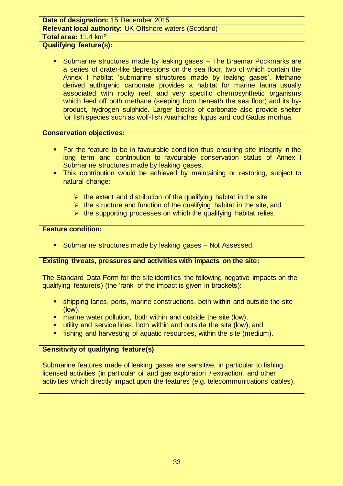#### **Date of designation:** 15 December 2015

#### **Relevant local authority:** UK Offshore waters (Scotland)

**Total area:** 11.4 km<sup>2</sup>

#### **Qualifying feature(s):**

 Submarine structures made by leaking gases – The Braemar Pockmarks are a series of crater-like depressions on the sea floor, two of which contain the Annex I habitat 'submarine structures made by leaking gases'. Methane derived authigenic carbonate provides a habitat for marine fauna usually associated with rocky reef, and very specific chemosynthetic organisms which feed off both methane (seeping from beneath the sea floor) and its byproduct, hydrogen sulphide. Larger blocks of carbonate also provide shelter for fish species such as wolf-fish Anarhichas lupus and cod Gadus morhua.

#### **Conservation objectives:**

- For the feature to be in favourable condition thus ensuring site integrity in the long term and contribution to favourable conservation status of Annex I Submarine structures made by leaking gases.
- **This contribution would be achieved by maintaining or restoring, subject to** natural change:
	- $\triangleright$  the extent and distribution of the qualifying habitat in the site
	- $\triangleright$  the structure and function of the qualifying habitat in the site, and
	- $\triangleright$  the supporting processes on which the qualifying habitat relies.

#### **Feature condition:**

**Submarine structures made by leaking gases – Not Assessed.** 

#### **Existing threats, pressures and activities with impacts on the site:**

The Standard Data Form for the site identifies the following negative impacts on the qualifying feature(s) (the 'rank' of the impact is given in brackets):

- shipping lanes, ports, marine constructions, both within and outside the site (low),
- **E** marine water pollution, both within and outside the site (low),
- utility and service lines, both within and outside the site (low), and
- fishing and harvesting of aquatic resources, within the site (medium).

#### **Sensitivity of qualifying feature(s)**

Submarine features made of leaking gases are sensitive, in particular to fishing, licensed activities (in particular oil and gas exploration / extraction, and other activities which directly impact upon the features (e.g. telecommunications cables).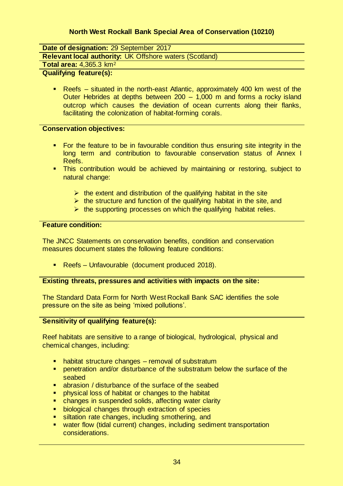#### **North West Rockall Bank Special Area of Conservation (10210)**

**Date of designation:** 29 September 2017

**Relevant local authority:** UK Offshore waters (Scotland)

### **Total area:** 4,365.3 km<sup>2</sup>

### **Qualifying feature(s):**

 Reefs – situated in the north-east Atlantic, approximately 400 km west of the Outer Hebrides at depths between 200 – 1,000 m and forms a rocky island outcrop which causes the deviation of ocean currents along their flanks, facilitating the colonization of habitat-forming corals.

#### **Conservation objectives:**

- For the feature to be in favourable condition thus ensuring site integrity in the long term and contribution to favourable conservation status of Annex I Reefs.
- **This contribution would be achieved by maintaining or restoring, subject to** natural change:
	- $\triangleright$  the extent and distribution of the qualifying habitat in the site
	- $\triangleright$  the structure and function of the qualifying habitat in the site, and
	- $\triangleright$  the supporting processes on which the qualifying habitat relies.

#### **Feature condition:**

The JNCC Statements on conservation benefits, condition and conservation measures document states the following feature conditions:

**Reefs – Unfavourable (document produced 2018).** 

#### **Existing threats, pressures and activities with impacts on the site:**

The Standard Data Form for North West Rockall Bank SAC identifies the sole pressure on the site as being 'mixed pollutions'.

#### **Sensitivity of qualifying feature(s):**

Reef habitats are sensitive to a range of biological, hydrological, physical and chemical changes, including:

- habitat structure changes removal of substratum
- **•** penetration and/or disturbance of the substratum below the surface of the seabed
- abrasion / disturbance of the surface of the seabed
- **Permion in the habitat of changes to the habitat**
- changes in suspended solids, affecting water clarity
- **biological changes through extraction of species**
- siltation rate changes, including smothering, and
- water flow (tidal current) changes, including sediment transportation considerations.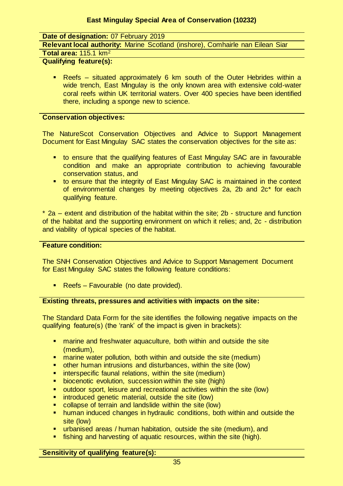#### **East Mingulay Special Area of Conservation (10232)**

**Date of designation:** 07 February 2019

**Relevant local authority:** Marine Scotland (inshore), Comhairle nan Eilean Siar

#### **Total area:** 115.1 km<sup>2</sup>

**Qualifying feature(s):** 

 Reefs – situated approximately 6 km south of the Outer Hebrides within a wide trench, East Mingulay is the only known area with extensive cold-water coral reefs within UK territorial waters. Over 400 species have been identified there, including a sponge new to science.

#### **Conservation objectives:**

The NatureScot Conservation Objectives and Advice to Support Management Document for East Mingulay SAC states the conservation objectives for the site as:

- to ensure that the qualifying features of East Mingulay SAC are in favourable condition and make an appropriate contribution to achieving favourable conservation status, and
- to ensure that the integrity of East Mingulay SAC is maintained in the context of environmental changes by meeting objectives 2a, 2b and 2c\* for each qualifying feature.

\* 2a – extent and distribution of the habitat within the site; 2b - structure and function of the habitat and the supporting environment on which it relies; and, 2c - distribution and viability of typical species of the habitat.

#### **Feature condition:**

The SNH Conservation Objectives and Advice to Support Management Document for East Mingulay SAC states the following feature conditions:

**Reefs – Favourable (no date provided).** 

#### **Existing threats, pressures and activities with impacts on the site:**

The Standard Data Form for the site identifies the following negative impacts on the qualifying feature(s) (the 'rank' of the impact is given in brackets):

- **EXT** marine and freshwater aquaculture, both within and outside the site (medium),
- **E** marine water pollution, both within and outside the site (medium)
- other human intrusions and disturbances, within the site (low)
- **E** interspecific faunal relations, within the site (medium)
- biocenotic evolution, succession within the site (high)
- outdoor sport, leisure and recreational activities within the site (low)
- introduced genetic material, outside the site (low)
- collapse of terrain and landslide within the site (low)
- **•** human induced changes in hydraulic conditions, both within and outside the site (low)
- urbanised areas / human habitation, outside the site (medium), and
- fishing and harvesting of aquatic resources, within the site (high).

#### **Sensitivity of qualifying feature(s):**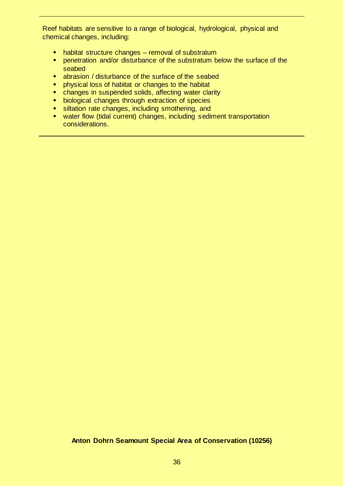Reef habitats are sensitive to a range of biological, hydrological, physical and chemical changes, including:

- habitat structure changes removal of substratum
- **PEDEPERIM** penetration and/or disturbance of the substratum below the surface of the seabed
- abrasion / disturbance of the surface of the seabed
- **Physical loss of habitat or changes to the habitat**
- **EXECT** changes in suspended solids, affecting water clarity
- **biological changes through extraction of species**
- siltation rate changes, including smothering, and
- water flow (tidal current) changes, including sediment transportation considerations.

#### **Anton Dohrn Seamount Special Area of Conservation (10256)**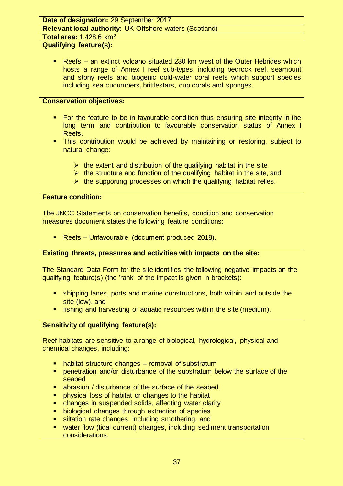### **Date of designation:** 29 September 2017

**Relevant local authority:** UK Offshore waters (Scotland)

**Total area:** 1,428.6 km<sup>2</sup>

# **Qualifying feature(s):**

 Reefs – an extinct volcano situated 230 km west of the Outer Hebrides which hosts a range of Annex I reef sub-types, including bedrock reef, seamount and stony reefs and biogenic cold-water coral reefs which support species including sea cucumbers, brittlestars, cup corals and sponges.

### **Conservation objectives:**

- For the feature to be in favourable condition thus ensuring site integrity in the long term and contribution to favourable conservation status of Annex I Reefs.
- This contribution would be achieved by maintaining or restoring, subject to natural change:
	- $\triangleright$  the extent and distribution of the qualifying habitat in the site
	- $\triangleright$  the structure and function of the qualifying habitat in the site, and
	- $\triangleright$  the supporting processes on which the qualifying habitat relies.

### **Feature condition:**

The JNCC Statements on conservation benefits, condition and conservation measures document states the following feature conditions:

**Reefs – Unfavourable (document produced 2018).** 

### **Existing threats, pressures and activities with impacts on the site:**

The Standard Data Form for the site identifies the following negative impacts on the qualifying feature(s) (the 'rank' of the impact is given in brackets):

- shipping lanes, ports and marine constructions, both within and outside the site (low), and
- **fishing and harvesting of aquatic resources within the site (medium).**

# **Sensitivity of qualifying feature(s):**

Reef habitats are sensitive to a range of biological, hydrological, physical and chemical changes, including:

- habitat structure changes removal of substratum
- **PEDEPERITHM** penetration and/or disturbance of the substratum below the surface of the seabed
- abrasion / disturbance of the surface of the seabed
- physical loss of habitat or changes to the habitat
- **EXT** changes in suspended solids, affecting water clarity
- **biological changes through extraction of species**
- siltation rate changes, including smothering, and
- water flow (tidal current) changes, including sediment transportation considerations.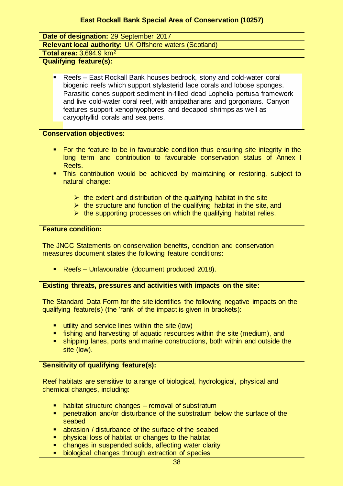**Date of designation:** 29 September 2017

**Relevant local authority:** UK Offshore waters (Scotland)

**Total area:** 3,694.9 km<sup>2</sup>

**Qualifying feature(s):** 

 Reefs – East Rockall Bank houses bedrock, stony and cold-water coral biogenic reefs which support stylasterid lace corals and lobose sponges. Parasitic cones support sediment in-filled dead Lophelia pertusa framework and live cold-water coral reef, with antipatharians and gorgonians. Canyon features support xenophyophores and decapod shrimps as well as caryophyllid corals and sea pens.

### **Conservation objectives:**

- For the feature to be in favourable condition thus ensuring site integrity in the long term and contribution to favourable conservation status of Annex I Reefs.
- This contribution would be achieved by maintaining or restoring, subject to natural change:
	- $\triangleright$  the extent and distribution of the qualifying habitat in the site
	- $\triangleright$  the structure and function of the qualifying habitat in the site, and
	- $\triangleright$  the supporting processes on which the qualifying habitat relies.

### **Feature condition:**

The JNCC Statements on conservation benefits, condition and conservation measures document states the following feature conditions:

**Reefs – Unfavourable (document produced 2018).** 

### **Existing threats, pressures and activities with impacts on the site:**

The Standard Data Form for the site identifies the following negative impacts on the qualifying feature(s) (the 'rank' of the impact is given in brackets):

- utility and service lines within the site (low)
- **F** fishing and harvesting of aquatic resources within the site (medium), and
- shipping lanes, ports and marine constructions, both within and outside the site (low).

# **Sensitivity of qualifying feature(s):**

Reef habitats are sensitive to a range of biological, hydrological, physical and chemical changes, including:

- **•** habitat structure changes removal of substratum
- **PEDEPERITHM** penetration and/or disturbance of the substratum below the surface of the seabed
- abrasion / disturbance of the surface of the seabed
- physical loss of habitat or changes to the habitat
- changes in suspended solids, affecting water clarity
- biological changes through extraction of species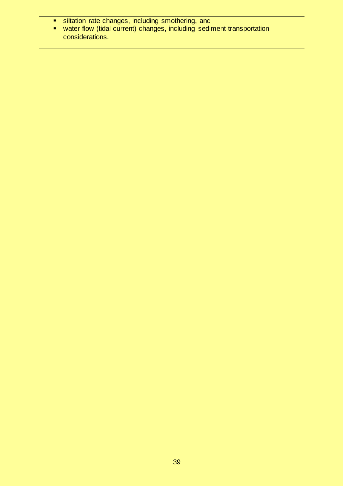- siltation rate changes, including smothering, and
- water flow (tidal current) changes, including sediment transportation considerations.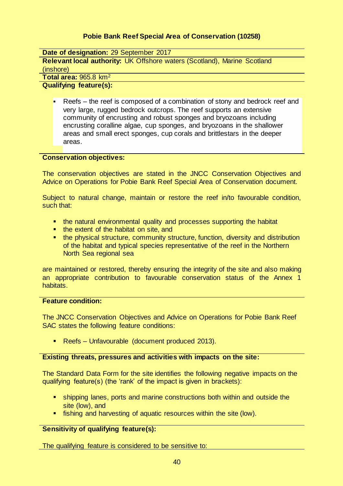# **Pobie Bank Reef Special Area of Conservation (10258)**

**Date of designation:** 29 September 2017

**Relevant local authority:** UK Offshore waters (Scotland), Marine Scotland (inshore)

**Total area:** 965.8 km<sup>2</sup>

#### **Qualifying feature(s):**

 Reefs – the reef is composed of a combination of stony and bedrock reef and very large, rugged bedrock outcrops. The reef supports an extensive community of encrusting and robust sponges and bryozoans including encrusting coralline algae, cup sponges, and bryozoans in the shallower areas and small erect sponges, cup corals and brittlestars in the deeper areas.

### **Conservation objectives:**

The conservation objectives are stated in the JNCC Conservation Objectives and Advice on Operations for Pobie Bank Reef Special Area of Conservation document.

Subject to natural change, maintain or restore the reef in/to favourable condition, such that:

- the natural environmental quality and processes supporting the habitat
- the extent of the habitat on site, and
- the physical structure, community structure, function, diversity and distribution of the habitat and typical species representative of the reef in the Northern North Sea regional sea

are maintained or restored, thereby ensuring the integrity of the site and also making an appropriate contribution to favourable conservation status of the Annex 1 habitats.

### **Feature condition:**

The JNCC Conservation Objectives and Advice on Operations for Pobie Bank Reef SAC states the following feature conditions:

■ Reefs – Unfavourable (document produced 2013).

#### **Existing threats, pressures and activities with impacts on the site:**

The Standard Data Form for the site identifies the following negative impacts on the qualifying feature(s) (the 'rank' of the impact is given in brackets):

- shipping lanes, ports and marine constructions both within and outside the site (low), and
- **fishing and harvesting of aquatic resources within the site (low).**

### **Sensitivity of qualifying feature(s):**

The qualifying feature is considered to be sensitive to: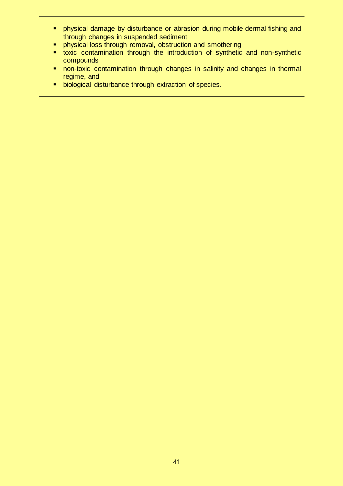- physical damage by disturbance or abrasion during mobile dermal fishing and through changes in suspended sediment
- **•** physical loss through removal, obstruction and smothering
- toxic contamination through the introduction of synthetic and non-synthetic compounds
- non-toxic contamination through changes in salinity and changes in thermal regime, and
- **biological disturbance through extraction of species.**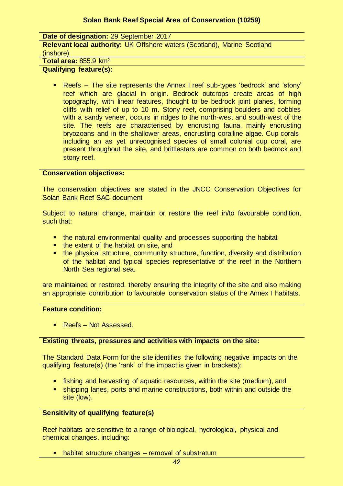### **Solan Bank Reef Special Area of Conservation (10259)**

| Date of designation: 29 September 2017                                          |
|---------------------------------------------------------------------------------|
| <b>Relevant local authority: UK Offshore waters (Scotland), Marine Scotland</b> |
| (inshore)                                                                       |
| Total area: $855.9 \text{ km}^2$                                                |

# **Qualifying feature(s):**

 Reefs – The site represents the Annex I reef sub-types 'bedrock' and 'stony' reef which are glacial in origin. Bedrock outcrops create areas of high topography, with linear features, thought to be bedrock joint planes, forming cliffs with relief of up to 10 m. Stony reef, comprising boulders and cobbles with a sandy veneer, occurs in ridges to the north-west and south-west of the site. The reefs are characterised by encrusting fauna, mainly encrusting bryozoans and in the shallower areas, encrusting coralline algae. Cup corals, including an as yet unrecognised species of small colonial cup coral, are present throughout the site, and brittlestars are common on both bedrock and stony reef.

#### **Conservation objectives:**

The conservation objectives are stated in the JNCC Conservation Objectives for Solan Bank Reef SAC document

Subject to natural change, maintain or restore the reef in/to favourable condition, such that:

- **the natural environmental quality and processes supporting the habitat**
- the extent of the habitat on site, and
- **the physical structure, community structure, function, diversity and distribution** of the habitat and typical species representative of the reef in the Northern North Sea regional sea.

are maintained or restored, thereby ensuring the integrity of the site and also making an appropriate contribution to favourable conservation status of the Annex I habitats.

#### **Feature condition:**

**Reefs – Not Assessed.** 

#### **Existing threats, pressures and activities with impacts on the site:**

The Standard Data Form for the site identifies the following negative impacts on the qualifying feature(s) (the 'rank' of the impact is given in brackets):

- fishing and harvesting of aquatic resources, within the site (medium), and
- shipping lanes, ports and marine constructions, both within and outside the site (low).

### **Sensitivity of qualifying feature(s)**

Reef habitats are sensitive to a range of biological, hydrological, physical and chemical changes, including:

habitat structure changes – removal of substratum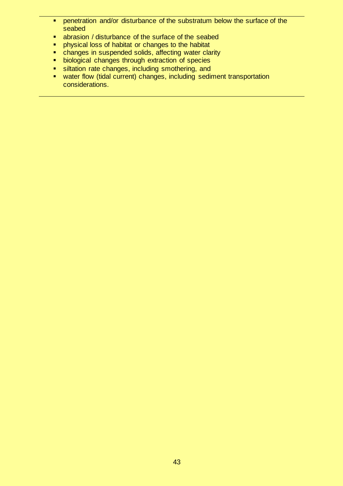- **PEDETER 19 FERRITHS INCORDITY In the substratum below the surface of the** seabed
- abrasion / disturbance of the surface of the seabed
- **Physical loss of habitat or changes to the habitat**
- **EXECUTE:** changes in suspended solids, affecting water clarity
- **biological changes through extraction of species**<br> **Example:** siltation rate changes, including smothering, and
- siltation rate changes, including smothering, and
- water flow (tidal current) changes, including sediment transportation considerations.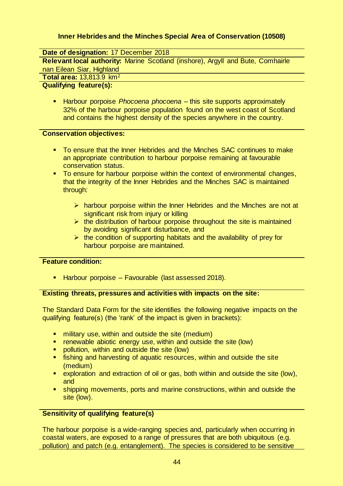# **Inner Hebrides and the Minches Special Area of Conservation (10508)**

**Date of designation:** 17 December 2018

**Relevant local authority:** Marine Scotland (inshore), Argyll and Bute, Comhairle nan Eilean Siar, Highland

**Total area:** 13,813.9 km<sup>2</sup>

#### **Qualifying feature(s):**

 Harbour porpoise *Phocoena phocoena* – this site supports approximately 32% of the harbour porpoise population found on the west coast of Scotland and contains the highest density of the species anywhere in the country.

### **Conservation objectives:**

- To ensure that the Inner Hebrides and the Minches SAC continues to make an appropriate contribution to harbour porpoise remaining at favourable conservation status.
- **To ensure for harbour porpoise within the context of environmental changes,** that the integrity of the Inner Hebrides and the Minches SAC is maintained through:
	- $\triangleright$  harbour porpoise within the Inner Hebrides and the Minches are not at significant risk from injury or killing
	- $\triangleright$  the distribution of harbour porpoise throughout the site is maintained by avoiding significant disturbance, and
	- $\triangleright$  the condition of supporting habitats and the availability of prey for harbour porpoise are maintained.

#### **Feature condition:**

**Harbour porpoise – Favourable (last assessed 2018).** 

### **Existing threats, pressures and activities with impacts on the site:**

The Standard Data Form for the site identifies the following negative impacts on the qualifying feature(s) (the 'rank' of the impact is given in brackets):

- **F** military use, within and outside the site (medium)
- **F** renewable abiotic energy use, within and outside the site (low)
- **•** pollution, within and outside the site (low)
- fishing and harvesting of aquatic resources, within and outside the site (medium)
- exploration and extraction of oil or gas, both within and outside the site (low), and
- shipping movements, ports and marine constructions, within and outside the site (low).

### **Sensitivity of qualifying feature(s)**

The harbour porpoise is a wide-ranging species and, particularly when occurring in coastal waters, are exposed to a range of pressures that are both ubiquitous (e.g. pollution) and patch (e.g. entanglement). The species is considered to be sensitive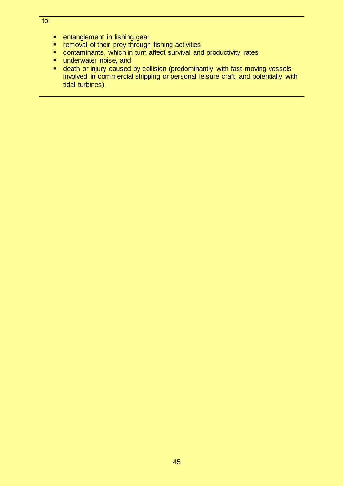- **EXE** entanglement in fishing gear
- **F** removal of their prey through fishing activities
- contaminants, which in turn affect survival and productivity rates
- underwater noise, and<br>■ death or iniury caused
- death or injury caused by collision (predominantly with fast-moving vessels involved in commercial shipping or personal leisure craft, and potentially with tidal turbines).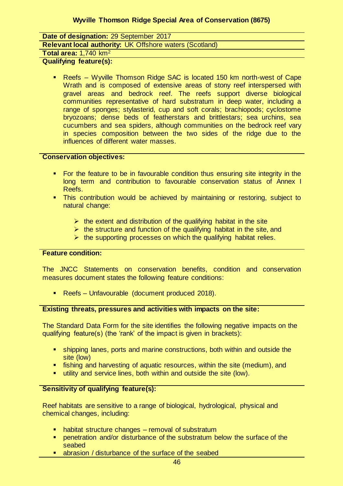**Date of designation:** 29 September 2017

**Relevant local authority:** UK Offshore waters (Scotland)

#### **Total area:** 1,740 km<sup>2</sup>

**Qualifying feature(s):** 

 Reefs – Wyville Thomson Ridge SAC is located 150 km north-west of Cape Wrath and is composed of extensive areas of stony reef interspersed with gravel areas and bedrock reef. The reefs support diverse biological communities representative of hard substratum in deep water, including a range of sponges; stylasterid, cup and soft corals; brachiopods; cyclostome bryozoans; dense beds of featherstars and brittlestars; sea urchins, sea cucumbers and sea spiders, although communities on the bedrock reef vary in species composition between the two sides of the ridge due to the influences of different water masses.

### **Conservation objectives:**

- For the feature to be in favourable condition thus ensuring site integrity in the long term and contribution to favourable conservation status of Annex I Reefs.
- **This contribution would be achieved by maintaining or restoring, subject to** natural change:
	- $\triangleright$  the extent and distribution of the qualifying habitat in the site
	- $\triangleright$  the structure and function of the qualifying habitat in the site, and
	- $\triangleright$  the supporting processes on which the qualifying habitat relies.

### **Feature condition:**

The JNCC Statements on conservation benefits, condition and conservation measures document states the following feature conditions:

Reefs – Unfavourable (document produced 2018).

### **Existing threats, pressures and activities with impacts on the site:**

The Standard Data Form for the site identifies the following negative impacts on the qualifying feature(s) (the 'rank' of the impact is given in brackets):

- shipping lanes, ports and marine constructions, both within and outside the site (low)
- **Farth** fishing and harvesting of aquatic resources, within the site (medium), and
- **utility and service lines, both within and outside the site (low).**

# **Sensitivity of qualifying feature(s):**

Reef habitats are sensitive to a range of biological, hydrological, physical and chemical changes, including:

- habitat structure changes removal of substratum
- penetration and/or disturbance of the substratum below the surface of the seabed
- abrasion / disturbance of the surface of the seabed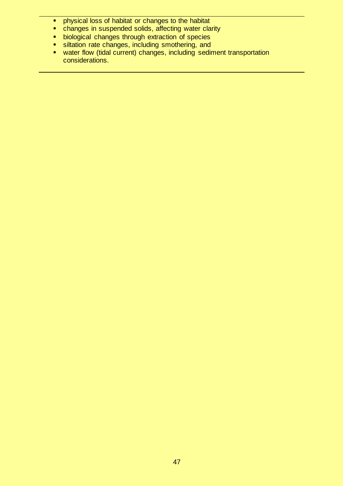- **•** physical loss of habitat or changes to the habitat
- **EXEDEN EXEDED FOR THE CHANGES IN SUSPENDED changes** in suspended solids, affecting water clarity
- **biological changes through extraction of species**
- **siltation rate changes, including smothering, and**
- water flow (tidal current) changes, including sediment transportation considerations.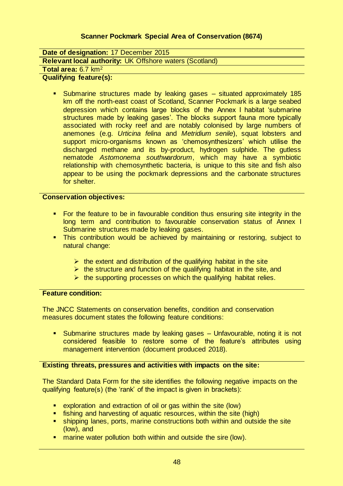# **Scanner Pockmark Special Area of Conservation (8674)**

**Date of designation:** 17 December 2015 **Relevant local authority:** UK Offshore waters (Scotland)

# **Total area:** 6.7 km<sup>2</sup>

### **Qualifying feature(s):**

 Submarine structures made by leaking gases – situated approximately 185 km off the north-east coast of Scotland, Scanner Pockmark is a large seabed depression which contains large blocks of the Annex I habitat 'submarine structures made by leaking gases'. The blocks support fauna more typically associated with rocky reef and are notably colonised by large numbers of anemones (e.g. *Urticina felina* and *Metridium senile*), squat lobsters and support micro-organisms known as 'chemosynthesizers' which utilise the discharged methane and its by-product, hydrogen sulphide. The gutless nematode *Astomonema southwardorum*, which may have a symbiotic relationship with chemosynthetic bacteria, is unique to this site and fish also appear to be using the pockmark depressions and the carbonate structures for shelter.

#### **Conservation objectives:**

- For the feature to be in favourable condition thus ensuring site integrity in the long term and contribution to favourable conservation status of Annex I Submarine structures made by leaking gases.
- This contribution would be achieved by maintaining or restoring, subject to natural change:
	- $\triangleright$  the extent and distribution of the qualifying habitat in the site
	- $\triangleright$  the structure and function of the qualifying habitat in the site, and
	- $\triangleright$  the supporting processes on which the qualifying habitat relies.

#### **Feature condition:**

The JNCC Statements on conservation benefits, condition and conservation measures document states the following feature conditions:

 Submarine structures made by leaking gases – Unfavourable, noting it is not considered feasible to restore some of the feature's attributes using management intervention (document produced 2018).

#### **Existing threats, pressures and activities with impacts on the site:**

The Standard Data Form for the site identifies the following negative impacts on the qualifying feature(s) (the 'rank' of the impact is given in brackets):

- exploration and extraction of oil or gas within the site (low)
- **fishing and harvesting of aquatic resources, within the site (high)**
- shipping lanes, ports, marine constructions both within and outside the site (low), and
- **E** marine water pollution both within and outside the sire (low).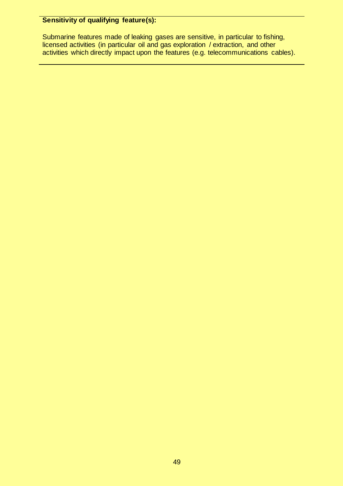# **Sensitivity of qualifying feature(s):**

Submarine features made of leaking gases are sensitive, in particular to fishing, licensed activities (in particular oil and gas exploration / extraction, and other activities which directly impact upon the features (e.g. telecommunications cables).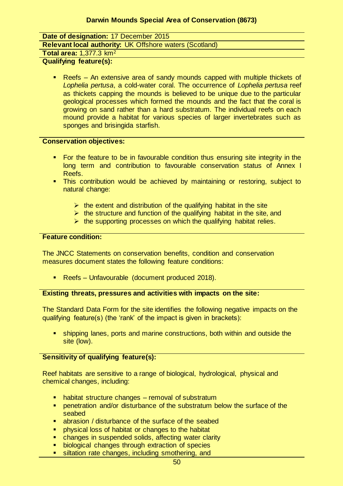**Date of designation:** 17 December 2015

**Relevant local authority:** UK Offshore waters (Scotland)

**Total area:** 1,377.3 km<sup>2</sup>

**Qualifying feature(s):** 

 Reefs – An extensive area of sandy mounds capped with multiple thickets of *Lophelia pertusa*, a cold-water coral. The occurrence of *Lophelia pertusa* reef as thickets capping the mounds is believed to be unique due to the particular geological processes which formed the mounds and the fact that the coral is growing on sand rather than a hard substratum. The individual reefs on each mound provide a habitat for various species of larger invertebrates such as sponges and brisingida starfish.

#### **Conservation objectives:**

- For the feature to be in favourable condition thus ensuring site integrity in the long term and contribution to favourable conservation status of Annex I Reefs.
- **This contribution would be achieved by maintaining or restoring, subject to** natural change:
	- $\triangleright$  the extent and distribution of the qualifying habitat in the site
	- $\triangleright$  the structure and function of the qualifying habitat in the site, and
	- $\triangleright$  the supporting processes on which the qualifying habitat relies.

### **Feature condition:**

The JNCC Statements on conservation benefits, condition and conservation measures document states the following feature conditions:

**Reefs – Unfavourable (document produced 2018).** 

### **Existing threats, pressures and activities with impacts on the site:**

The Standard Data Form for the site identifies the following negative impacts on the qualifying feature(s) (the 'rank' of the impact is given in brackets):

 shipping lanes, ports and marine constructions, both within and outside the site (low).

### **Sensitivity of qualifying feature(s):**

Reef habitats are sensitive to a range of biological, hydrological, physical and chemical changes, including:

- habitat structure changes removal of substratum
- penetration and/or disturbance of the substratum below the surface of the seabed
- abrasion / disturbance of the surface of the seabed
- physical loss of habitat or changes to the habitat
- **E** changes in suspended solids, affecting water clarity<br> **E** biological changes through extraction of species
- **biological changes through extraction of species**<br>**Example the changes including smothering, and**
- siltation rate changes, including smothering, and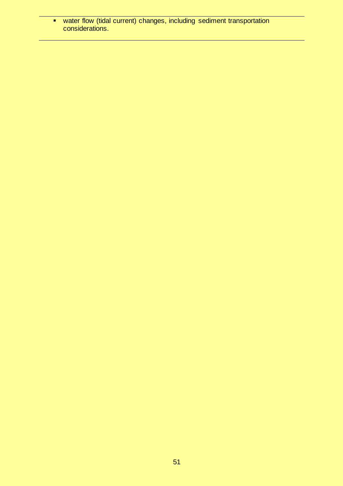water flow (tidal current) changes, including sediment transportation considerations.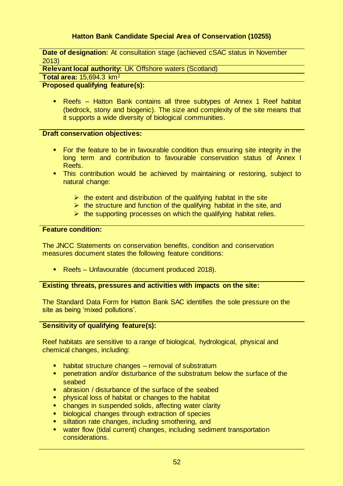# **Hatton Bank Candidate Special Area of Conservation (10255)**

**Date of designation:** At consultation stage (achieved cSAC status in November 2013)

**Relevant local authority:** UK Offshore waters (Scotland)

**Total area:** 15,694.3 km<sup>2</sup>

### **Proposed qualifying feature(s):**

 Reefs – Hatton Bank contains all three subtypes of Annex 1 Reef habitat (bedrock, stony and biogenic). The size and complexity of the site means that it supports a wide diversity of biological communities.

#### **Draft conservation objectives:**

- For the feature to be in favourable condition thus ensuring site integrity in the long term and contribution to favourable conservation status of Annex I Reefs.
- This contribution would be achieved by maintaining or restoring, subject to natural change:
	- $\triangleright$  the extent and distribution of the qualifying habitat in the site
	- $\triangleright$  the structure and function of the qualifying habitat in the site, and
	- $\triangleright$  the supporting processes on which the qualifying habitat relies.

### **Feature condition:**

The JNCC Statements on conservation benefits, condition and conservation measures document states the following feature conditions:

**Reefs – Unfavourable (document produced 2018).** 

### **Existing threats, pressures and activities with impacts on the site:**

The Standard Data Form for Hatton Bank SAC identifies the sole pressure on the site as being 'mixed pollutions'.

### **Sensitivity of qualifying feature(s):**

Reef habitats are sensitive to a range of biological, hydrological, physical and chemical changes, including:

- habitat structure changes removal of substratum
- **Parametration and/or disturbance of the substratum below the surface of the** seabed
- abrasion / disturbance of the surface of the seabed
- physical loss of habitat or changes to the habitat
- **EXT** changes in suspended solids, affecting water clarity
- **biological changes through extraction of species**
- siltation rate changes, including smothering, and
- water flow (tidal current) changes, including sediment transportation considerations.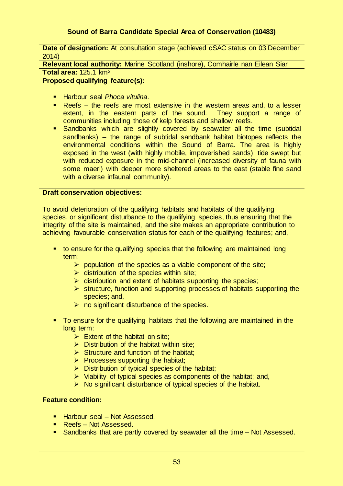# **Sound of Barra Candidate Special Area of Conservation (10483)**

**Date of designation:** At consultation stage (achieved cSAC status on 03 December 2014)

**Relevant local authority:** Marine Scotland (inshore), Comhairle nan Eilean Siar **Total area:** 125.1 km<sup>2</sup>

**Proposed qualifying feature(s):** 

- Harbour seal *Phoca vitulina*.
- Reefs the reefs are most extensive in the western areas and, to a lesser extent, in the eastern parts of the sound. They support a range of communities including those of kelp forests and shallow reefs.
- **Sandbanks which are slightly covered by seawater all the time (subtidal** sandbanks) – the range of subtidal sandbank habitat biotopes reflects the environmental conditions within the Sound of Barra. The area is highly exposed in the west (with highly mobile, impoverished sands), tide swept but with reduced exposure in the mid-channel (increased diversity of fauna with some maerl) with deeper more sheltered areas to the east (stable fine sand with a diverse infaunal community).

#### **Draft conservation objectives:**

To avoid deterioration of the qualifying habitats and habitats of the qualifying species, or significant disturbance to the qualifying species, thus ensuring that the integrity of the site is maintained, and the site makes an appropriate contribution to achieving favourable conservation status for each of the qualifying features; and,

- to ensure for the qualifying species that the following are maintained long term:
	- $\triangleright$  population of the species as a viable component of the site;
	- $\triangleright$  distribution of the species within site:
	- $\triangleright$  distribution and extent of habitats supporting the species;
	- $\triangleright$  structure, function and supporting processes of habitats supporting the species; and,
	- $\triangleright$  no significant disturbance of the species.
- To ensure for the qualifying habitats that the following are maintained in the long term:
	- $\triangleright$  Extent of the habitat on site:
	- $\triangleright$  Distribution of the habitat within site;
	- $\triangleright$  Structure and function of the habitat;
	- $\triangleright$  Processes supporting the habitat;
	- $\triangleright$  Distribution of typical species of the habitat;
	- $\triangleright$  Viability of typical species as components of the habitat; and,
	- $\triangleright$  No significant disturbance of typical species of the habitat.

### **Feature condition:**

- Harbour seal Not Assessed.
- Reefs Not Assessed.
- Sandbanks that are partly covered by seawater all the time Not Assessed.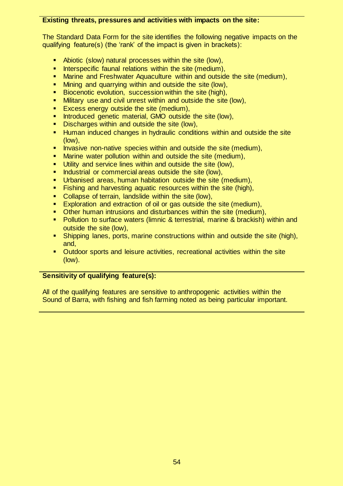### **Existing threats, pressures and activities with impacts on the site:**

The Standard Data Form for the site identifies the following negative impacts on the qualifying feature(s) (the 'rank' of the impact is given in brackets):

- Abiotic (slow) natural processes within the site (low),
- **Interspecific faunal relations within the site (medium),**
- Marine and Freshwater Aquaculture within and outside the site (medium),
- Mining and quarrying within and outside the site (low),
- Biocenotic evolution, succession within the site (high),
- Military use and civil unrest within and outside the site (low),
- **Excess energy outside the site (medium),**
- Introduced genetic material, GMO outside the site (low),
- **Discharges within and outside the site (low),**
- **Human induced changes in hydraulic conditions within and outside the site** (low),
- Invasive non-native species within and outside the site (medium),
- Marine water pollution within and outside the site (medium),
- **Utility and service lines within and outside the site (low),**
- **Industrial or commercial areas outside the site (low),**
- Urbanised areas, human habitation outside the site (medium),
- Fishing and harvesting aquatic resources within the site (high),
- Collapse of terrain, landslide within the site (low),
- Exploration and extraction of oil or gas outside the site (medium),
- Other human intrusions and disturbances within the site (medium),
- Pollution to surface waters (limnic & terrestrial, marine & brackish) within and outside the site (low),
- Shipping lanes, ports, marine constructions within and outside the site (high), and,
- Outdoor sports and leisure activities, recreational activities within the site (low).

# **Sensitivity of qualifying feature(s):**

All of the qualifying features are sensitive to anthropogenic activities within the Sound of Barra, with fishing and fish farming noted as being particular important.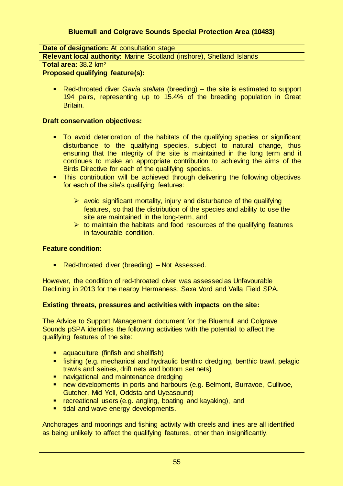# **Bluemull and Colgrave Sounds Special Protection Area (10483)**

**Date of designation:** At consultation stage

**Relevant local authority:** Marine Scotland (inshore), Shetland Islands

**Total area:** 38.2 km<sup>2</sup>

# **Proposed qualifying feature(s):**

 Red-throated diver *Gavia stellata* (breeding) – the site is estimated to support 194 pairs, representing up to 15.4% of the breeding population in Great Britain.

### **Draft conservation objectives:**

- To avoid deterioration of the habitats of the qualifying species or significant disturbance to the qualifying species, subject to natural change, thus ensuring that the integrity of the site is maintained in the long term and it continues to make an appropriate contribution to achieving the aims of the Birds Directive for each of the qualifying species.
- **This contribution will be achieved through delivering the following objectives** for each of the site's qualifying features:
	- $\triangleright$  avoid significant mortality, injury and disturbance of the qualifying features, so that the distribution of the species and ability to use the site are maintained in the long-term, and
	- $\triangleright$  to maintain the habitats and food resources of the qualifying features in favourable condition.

### **Feature condition:**

**Red-throated diver (breeding) – Not Assessed.** 

However, the condition of red-throated diver was assessed as Unfavourable Declining in 2013 for the nearby Hermaness, Saxa Vord and Valla Field SPA.

### **Existing threats, pressures and activities with impacts on the site:**

The Advice to Support Management document for the Bluemull and Colgrave Sounds pSPA identifies the following activities with the potential to affect the qualifying features of the site:

- **E** aquaculture (finfish and shellfish)
- fishing (e.g. mechanical and hydraulic benthic dredging, benthic trawl, pelagic trawls and seines, drift nets and bottom set nets)
- **navigational and maintenance dredging**
- **new developments in ports and harbours (e.g. Belmont, Burravoe, Cullivoe,** Gutcher, Mid Yell, Oddsta and Uyeasound)
- recreational users (e.g. angling, boating and kayaking), and
- tidal and wave energy developments.

Anchorages and moorings and fishing activity with creels and lines are all identified as being unlikely to affect the qualifying features, other than insignificantly.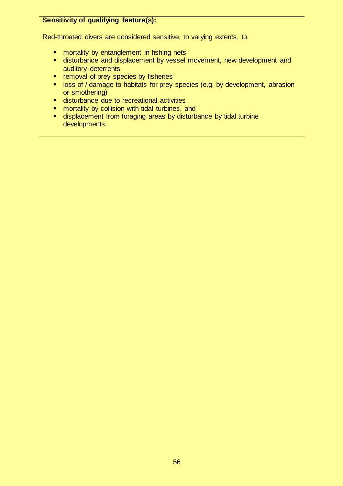# **Sensitivity of qualifying feature(s):**

Red-throated divers are considered sensitive, to varying extents, to:

- **n** mortality by entanglement in fishing nets
- **EXTERN** disturbance and displacement by vessel movement, new development and auditory deterrents
- **F** removal of prey species by fisheries
- **loss of / damage to habitats for prey species (e.g. by development, abrasion** or smothering)
- disturbance due to recreational activities
- **EXECUTE:** mortality by collision with tidal turbines, and
- displacement from foraging areas by disturbance by tidal turbine developments.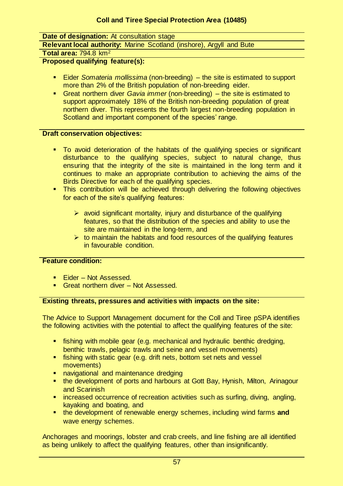# **Date of designation:** At consultation stage

**Relevant local authority:** Marine Scotland (inshore), Argyll and Bute

**Total area:** 794.8 km<sup>2</sup>

**Proposed qualifying feature(s):** 

- Eider *Somateria mollissima* (non-breeding) the site is estimated to support more than 2% of the British population of non-breeding eider.
- Great northern diver *Gavia immer* (non-breeding) the site is estimated to support approximately 18% of the British non-breeding population of great northern diver. This represents the fourth largest non-breeding population in Scotland and important component of the species' range.

# **Draft conservation objectives:**

- To avoid deterioration of the habitats of the qualifying species or significant disturbance to the qualifying species, subject to natural change, thus ensuring that the integrity of the site is maintained in the long term and it continues to make an appropriate contribution to achieving the aims of the Birds Directive for each of the qualifying species.
- **This contribution will be achieved through delivering the following objectives** for each of the site's qualifying features:
	- $\triangleright$  avoid significant mortality, injury and disturbance of the qualifying features, so that the distribution of the species and ability to use the site are maintained in the long-term, and
	- $\triangleright$  to maintain the habitats and food resources of the qualifying features in favourable condition.

# **Feature condition:**

- Eider Not Assessed.
- **Great northern diver Not Assessed.**

# **Existing threats, pressures and activities with impacts on the site:**

The Advice to Support Management document for the Coll and Tiree pSPA identifies the following activities with the potential to affect the qualifying features of the site:

- fishing with mobile gear (e.g. mechanical and hydraulic benthic dredging, benthic trawls, pelagic trawls and seine and vessel movements)
- **fishing with static gear (e.g. drift nets, bottom set nets and vessel)** movements)
- **navigational and maintenance dredging**
- the development of ports and harbours at Gott Bay, Hynish, Milton, Arinagour and Scarinish
- **EXT** increased occurrence of recreation activities such as surfing, diving, angling, kayaking and boating, and
- the development of renewable energy schemes, including wind farms and wave energy schemes.

Anchorages and moorings, lobster and crab creels, and line fishing are all identified as being unlikely to affect the qualifying features, other than insignificantly.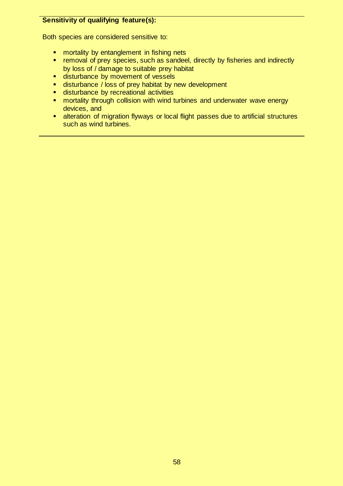# **Sensitivity of qualifying feature(s):**

Both species are considered sensitive to:

- **number** mortality by entanglement in fishing nets
- **F** removal of prey species, such as sandeel, directly by fisheries and indirectly by loss of / damage to suitable prey habitat
- **disturbance by movement of vessels**
- **disturbance / loss of prey habitat by new development**
- **disturbance by recreational activities**
- **EXT** mortality through collision with wind turbines and underwater wave energy devices, and
- **E** alteration of migration flyways or local flight passes due to artificial structures such as wind turbines.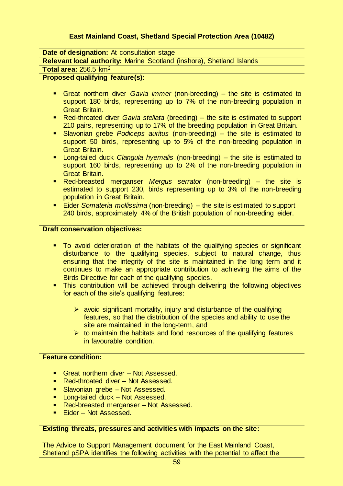# **East Mainland Coast, Shetland Special Protection Area (10482)**

# **Date of designation:** At consultation stage

**Relevant local authority:** Marine Scotland (inshore), Shetland Islands

**Total area:** 256.5 km<sup>2</sup>

### **Proposed qualifying feature(s):**

- Great northern diver *Gavia immer* (non-breeding) the site is estimated to support 180 birds, representing up to 7% of the non-breeding population in Great Britain.
- Red-throated diver *Gavia stellata* (breeding) the site is estimated to support 210 pairs, representing up to 17% of the breeding population in Great Britain.
- Slavonian grebe *Podiceps auritus* (non-breeding) the site is estimated to support 50 birds, representing up to 5% of the non-breeding population in Great Britain.
- Long-tailed duck *Clangula hyemalis* (non-breeding) the site is estimated to support 160 birds, representing up to 2% of the non-breeding population in Great Britain.
- Red-breasted merganser *Mergus serrator* (non-breeding) the site is estimated to support 230, birds representing up to 3% of the non-breeding population in Great Britain.
- Eider *Somateria mollissima* (non-breeding) the site is estimated to support 240 birds, approximately 4% of the British population of non-breeding eider.

#### **Draft conservation objectives:**

- **To avoid deterioration of the habitats of the qualifying species or significant** disturbance to the qualifying species, subject to natural change, thus ensuring that the integrity of the site is maintained in the long term and it continues to make an appropriate contribution to achieving the aims of the Birds Directive for each of the qualifying species.
- This contribution will be achieved through delivering the following objectives for each of the site's qualifying features:
	- $\triangleright$  avoid significant mortality, injury and disturbance of the qualifying features, so that the distribution of the species and ability to use the site are maintained in the long-term, and
	- $\triangleright$  to maintain the habitats and food resources of the qualifying features in favourable condition.

### **Feature condition:**

- Great northern diver Not Assessed.
- Red-throated diver Not Assessed.
- **Slavonian grebe Not Assessed.**
- **Long-tailed duck Not Assessed.**
- **Red-breasted merganser Not Assessed.**
- **Eider Not Assessed.**

#### **Existing threats, pressures and activities with impacts on the site:**

The Advice to Support Management document for the East Mainland Coast, Shetland pSPA identifies the following activities with the potential to affect the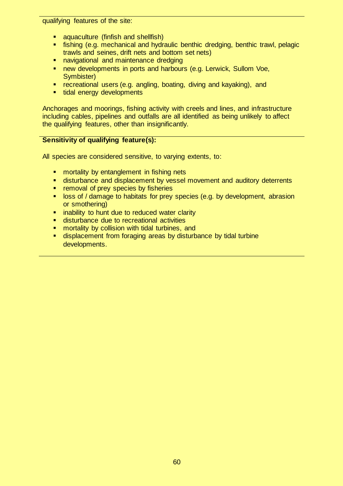qualifying features of the site:

- **a** aquaculture (finfish and shellfish)
- fishing (e.g. mechanical and hydraulic benthic dredging, benthic trawl, pelagic trawls and seines, drift nets and bottom set nets)
- **navigational and maintenance dredging**
- **new developments in ports and harbours (e.g. Lerwick, Sullom Voe,** Symbister)
- **•** recreational users (e.g. angling, boating, diving and kayaking), and
- **tidal energy developments**

Anchorages and moorings, fishing activity with creels and lines, and infrastructure including cables, pipelines and outfalls are all identified as being unlikely to affect the qualifying features, other than insignificantly.

### **Sensitivity of qualifying feature(s):**

All species are considered sensitive, to varying extents, to:

- **number** mortality by entanglement in fishing nets
- **disturbance and displacement by vessel movement and auditory deterrents**
- **F** removal of prey species by fisheries
- **loss of / damage to habitats for prey species (e.g. by development, abrasion** or smothering)
- **E** inability to hunt due to reduced water clarity
- disturbance due to recreational activities
- **EXT** mortality by collision with tidal turbines, and
- **displacement from foraging areas by disturbance by tidal turbine** developments.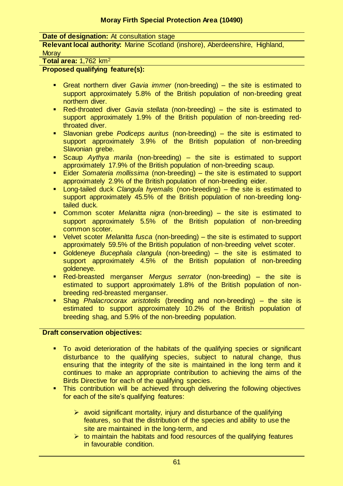**Date of designation:** At consultation stage

**Relevant local authority:** Marine Scotland (inshore), Aberdeenshire, Highland, **Moray** 

**Total area:** 1,762 km<sup>2</sup>

### **Proposed qualifying feature(s):**

- Great northern diver *Gavia immer* (non-breeding) the site is estimated to support approximately 5.8% of the British population of non-breeding great northern diver.
- Red-throated diver *Gavia stellata* (non-breeding) the site is estimated to support approximately 1.9% of the British population of non-breeding redthroated diver.
- Slavonian grebe *Podiceps auritus* (non-breeding) the site is estimated to support approximately 3.9% of the British population of non-breeding Slavonian grebe.
- Scaup *Aythya marila* (non-breeding) the site is estimated to support approximately 17.9% of the British population of non-breeding scaup.
- Eider *Somateria mollissima* (non-breeding) the site is estimated to support approximately 2.9% of the British population of non-breeding eider.
- Long-tailed duck *Clangula hyemalis* (non-breeding) the site is estimated to support approximately 45.5% of the British population of non-breeding longtailed duck.
- Common scoter *Melanitta nigra* (non-breeding) the site is estimated to support approximately 5.5% of the British population of non-breeding common scoter.
- Velvet scoter *Melanitta fusca* (non-breeding) the site is estimated to support approximately 59.5% of the British population of non-breeding velvet scoter.
- Goldeneye *Bucephala clangula* (non-breeding) the site is estimated to support approximately 4.5% of the British population of non-breeding goldeneye.
- Red-breasted merganser *Mergus serrator* (non-breeding) the site is estimated to support approximately 1.8% of the British population of nonbreeding red-breasted merganser.
- Shag *Phalacrocorax aristotelis* (breeding and non-breeding) the site is estimated to support approximately 10.2% of the British population of breeding shag, and 5.9% of the non-breeding population.

### **Draft conservation objectives:**

- To avoid deterioration of the habitats of the qualifying species or significant disturbance to the qualifying species, subject to natural change, thus ensuring that the integrity of the site is maintained in the long term and it continues to make an appropriate contribution to achieving the aims of the Birds Directive for each of the qualifying species.
- **This contribution will be achieved through delivering the following objectives** for each of the site's qualifying features:
	- $\triangleright$  avoid significant mortality, injury and disturbance of the qualifying features, so that the distribution of the species and ability to use the site are maintained in the long-term, and
	- $\triangleright$  to maintain the habitats and food resources of the qualifying features in favourable condition.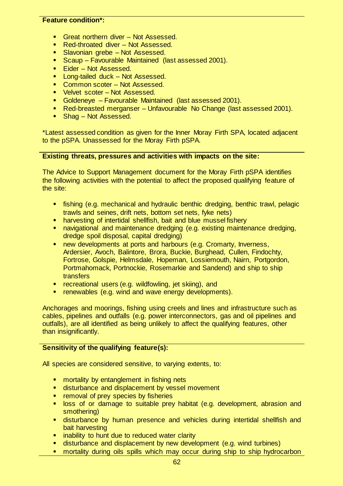### **Feature condition\*:**

- **Great northern diver Not Assessed.**
- Red-throated diver Not Assessed.
- **Slavonian grebe Not Assessed.**
- **Scaup Favourable Maintained (last assessed 2001).**
- Eider Not Assessed.
- **Long-tailed duck Not Assessed.**
- Common scoter Not Assessed.
- Velvet scoter Not Assessed.
- Goldeneye Favourable Maintained (last assessed 2001).
- Red-breasted merganser Unfavourable No Change (last assessed 2001).
- Shag Not Assessed.

\*Latest assessed condition as given for the Inner Moray Firth SPA, located adjacent to the pSPA. Unassessed for the Moray Firth pSPA.

### **Existing threats, pressures and activities with impacts on the site:**

The Advice to Support Management document for the Moray Firth pSPA identifies the following activities with the potential to affect the proposed qualifying feature of the site:

- fishing (e.g. mechanical and hydraulic benthic dredging, benthic trawl, pelagic trawls and seines, drift nets, bottom set nets, fyke nets)
- **harvesting of intertidal shellfish, bait and blue mussel fishery**
- **navigational and maintenance dredging (e.g. existing maintenance dredging,** dredge spoil disposal, capital dredging)
- **new developments at ports and harbours (e.g. Cromarty, Inverness,** Ardersier, Avoch, Balintore, Brora, Buckie, Burghead, Cullen, Findochty, Fortrose, Golspie, Helmsdale, Hopeman, Lossiemouth, Nairn, Portgordon, Portmahomack, Portnockie, Rosemarkie and Sandend) and ship to ship **transfers**
- **F** recreational users (e.g. wildfowling, jet skiing), and
- **F** renewables (e.g. wind and wave energy developments).

Anchorages and moorings, fishing using creels and lines and infrastructure such as cables, pipelines and outfalls (e.g. power interconnectors, gas and oil pipelines and outfalls), are all identified as being unlikely to affect the qualifying features, other than insignificantly.

### **Sensitivity of the qualifying feature(s):**

All species are considered sensitive, to varying extents, to:

- **number** mortality by entanglement in fishing nets
- **EXP** disturbance and displacement by vessel movement
- **F** removal of prey species by fisheries
- **lack** loss of or damage to suitable prey habitat (e.g. development, abrasion and smothering)
- disturbance by human presence and vehicles during intertidal shellfish and bait harvesting
- **EXT** inability to hunt due to reduced water clarity
- disturbance and displacement by new development (e.g. wind turbines)
- **number 10 mortality during oils spills which may occur during ship to ship hydrocarbon**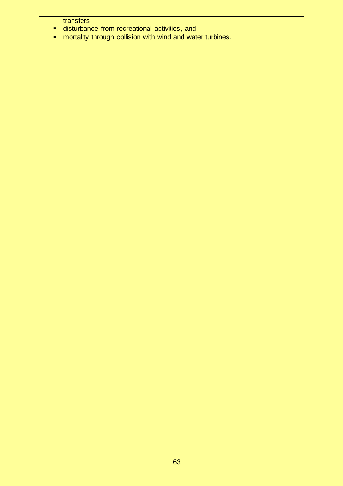**transfers** 

- **E** disturbance from recreational activities, and
- **numity through collision with wind and water turbines.**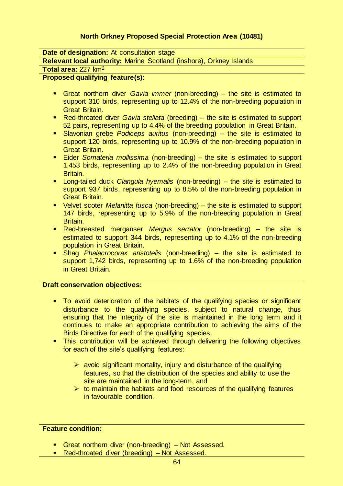# **North Orkney Proposed Special Protection Area (10481)**

### **Date of designation:** At consultation stage

**Relevant local authority:** Marine Scotland (inshore), Orkney Islands

#### **Total area:** 227 km<sup>2</sup>

### **Proposed qualifying feature(s):**

- Great northern diver *Gavia immer* (non-breeding) the site is estimated to support 310 birds, representing up to 12.4% of the non-breeding population in Great Britain.
- Red-throated diver *Gavia stellata* (breeding) the site is estimated to support 52 pairs, representing up to 4.4% of the breeding population in Great Britain.
- Slavonian grebe *Podiceps auritus* (non-breeding) the site is estimated to support 120 birds, representing up to 10.9% of the non-breeding population in Great Britain.
- Eider *Somateria mollissima* (non-breeding) the site is estimated to support 1,453 birds, representing up to 2.4% of the non-breeding population in Great Britain.
- Long-tailed duck *Clangula hyemalis* (non-breeding) the site is estimated to support 937 birds, representing up to 8.5% of the non-breeding population in Great Britain.
- Velvet scoter *Melanitta fusca* (non-breeding) the site is estimated to support 147 birds, representing up to 5.9% of the non-breeding population in Great Britain.
- Red-breasted merganser *Mergus serrator* (non-breeding) the site is estimated to support 344 birds, representing up to 4.1% of the non-breeding population in Great Britain.
- Shag *Phalacrocorax aristotelis* (non-breeding) the site is estimated to support 1,742 birds, representing up to 1.6% of the non-breeding population in Great Britain.

#### **Draft conservation objectives:**

- To avoid deterioration of the habitats of the qualifying species or significant disturbance to the qualifying species, subject to natural change, thus ensuring that the integrity of the site is maintained in the long term and it continues to make an appropriate contribution to achieving the aims of the Birds Directive for each of the qualifying species.
- **This contribution will be achieved through delivering the following objectives** for each of the site's qualifying features:
	- $\triangleright$  avoid significant mortality, injury and disturbance of the qualifying features, so that the distribution of the species and ability to use the site are maintained in the long-term, and
	- $\triangleright$  to maintain the habitats and food resources of the qualifying features in favourable condition.

#### **Feature condition:**

- Great northern diver (non-breeding) Not Assessed.
- Red-throated diver (breeding) Not Assessed.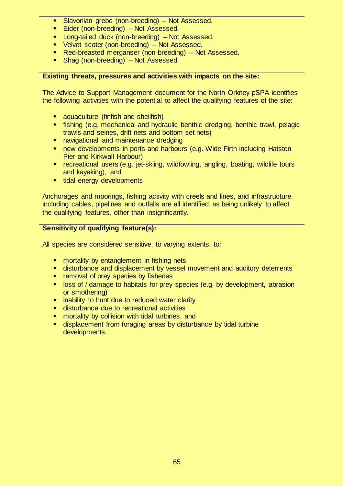- **Slavonian grebe (non-breeding) Not Assessed.**
- **Eider (non-breeding) Not Assessed.**
- **EXECUTE:** Long-tailed duck (non-breeding) Not Assessed.
- 
- **•** Velvet scoter (non-breeding) Not Assessed.<br>• Red-breasted merganser (non-breeding) No Red-breasted merganser (non-breeding) – Not Assessed.
- Shag (non-breeding) Not Assessed.

### **Existing threats, pressures and activities with impacts on the site:**

The Advice to Support Management document for the North Orkney pSPA identifies the following activities with the potential to affect the qualifying features of the site:

- aquaculture (finfish and shellfish)
- fishing (e.g. mechanical and hydraulic benthic dredging, benthic trawl, pelagic trawls and seines, drift nets and bottom set nets)
- navigational and maintenance dredging
- **new developments in ports and harbours (e.g. Wide Firth including Hatston** Pier and Kirkwall Harbour)
- recreational users (e.g. jet-skiing, wildfowling, angling, boating, wildlife tours and kayaking), and
- **tidal energy developments**

Anchorages and moorings, fishing activity with creels and lines, and infrastructure including cables, pipelines and outfalls are all identified as being unlikely to affect the qualifying features, other than insignificantly.

### **Sensitivity of qualifying feature(s):**

All species are considered sensitive, to varying extents, to:

- **number** mortality by entanglement in fishing nets
- **disturbance and displacement by vessel movement and auditory deterrents**<br>**EXECUTE:** removal of previspecies by fisheries
- removal of prey species by fisheries
- **IDOS 6 A idemage to habitats for prey species (e.g. by development, abrasion idem** or smothering)
- **EXTERN** inability to hunt due to reduced water clarity
- disturbance due to recreational activities
- **EXT** mortality by collision with tidal turbines, and
- displacement from foraging areas by disturbance by tidal turbine developments.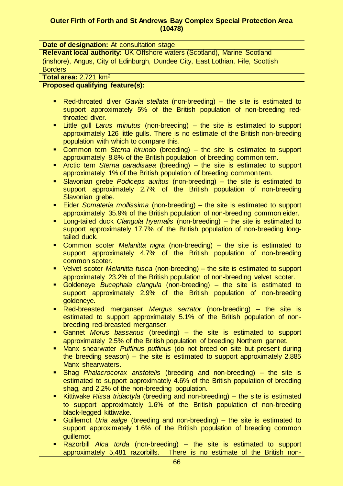### **Outer Firth of Forth and St Andrews Bay Complex Special Protection Area (10478)**

#### **Date of designation:** At consultation stage

**Relevant local authority:** UK Offshore waters (Scotland), Marine Scotland (inshore), Angus, City of Edinburgh, Dundee City, East Lothian, Fife, Scottish **Borders** 

**Total area:** 2,721 km<sup>2</sup>

### **Proposed qualifying feature(s):**

- Red-throated diver *Gavia stellata* (non-breeding) the site is estimated to support approximately 5% of the British population of non-breeding redthroated diver.
- Little gull *Larus minutus* (non-breeding) the site is estimated to support approximately 126 little gulls. There is no estimate of the British non-breeding population with which to compare this.
- Common tern *Sterna hirundo* (breeding) the site is estimated to support approximately 8.8% of the British population of breeding common tern.
- Arctic tern *Sterna paradisaea* (breeding) the site is estimated to support approximately 1% of the British population of breeding common tern.
- Slavonian grebe *Podiceps auritus* (non-breeding) the site is estimated to support approximately 2.7% of the British population of non-breeding Slavonian grebe.
- Eider *Somateria mollissima* (non-breeding) the site is estimated to support approximately 35.9% of the British population of non-breeding common eider.
- Long-tailed duck *Clangula hyemalis* (non-breeding) the site is estimated to support approximately 17.7% of the British population of non-breeding longtailed duck.
- Common scoter *Melanitta nigra* (non-breeding) the site is estimated to support approximately 4.7% of the British population of non-breeding common scoter.
- Velvet scoter *Melanitta fusca* (non-breeding) the site is estimated to support approximately 23.2% of the British population of non-breeding velvet scoter.
- Goldeneye *Bucephala clangula* (non-breeding) the site is estimated to support approximately 2.9% of the British population of non-breeding goldeneye.
- Red-breasted merganser *Mergus serrator* (non-breeding) the site is estimated to support approximately 5.1% of the British population of nonbreeding red-breasted merganser.
- Gannet *Morus bassanus* (breeding) the site is estimated to support approximately 2.5% of the British population of breeding Northern gannet.
- Manx shearwater *Puffinus puffinus* (do not breed on site but present during the breeding season) – the site is estimated to support approximately 2,885 Manx shearwaters.
- Shag *Phalacrocorax aristotelis* (breeding and non-breeding) the site is estimated to support approximately 4.6% of the British population of breeding shag, and 2.2% of the non-breeding population.
- Kittiwake *Rissa tridactyla* (breeding and non-breeding) the site is estimated to support approximately 1.6% of the British population of non-breeding black-legged kittiwake.
- Guillemot *Uria aalge* (breeding and non-breeding) the site is estimated to support approximately 1.6% of the British population of breeding common guillemot.
- Razorbill *Alca torda* (non-breeding) the site is estimated to support approximately 5,481 razorbills. There is no estimate of the British non-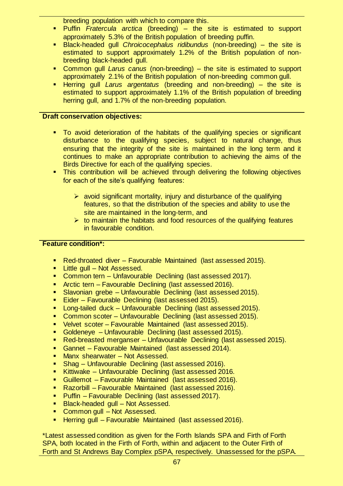breeding population with which to compare this.

- Puffin *Fratercula arctica* (breeding) the site is estimated to support approximately 5.3% of the British population of breeding puffin.
- Black-headed gull *Chroicocephalus ridibundus* (non-breeding) the site is estimated to support approximately 1.2% of the British population of nonbreeding black-headed gull.
- Common gull *Larus canus* (non-breeding) the site is estimated to support approximately 2.1% of the British population of non-breeding common gull.
- Herring gull *Larus argentatus* (breeding and non-breeding) the site is estimated to support approximately 1.1% of the British population of breeding herring gull, and 1.7% of the non-breeding population.

# **Draft conservation objectives:**

- To avoid deterioration of the habitats of the qualifying species or significant disturbance to the qualifying species, subject to natural change, thus ensuring that the integrity of the site is maintained in the long term and it continues to make an appropriate contribution to achieving the aims of the Birds Directive for each of the qualifying species.
- **This contribution will be achieved through delivering the following objectives** for each of the site's qualifying features:
	- $\triangleright$  avoid significant mortality, injury and disturbance of the qualifying features, so that the distribution of the species and ability to use the site are maintained in the long-term, and
	- $\triangleright$  to maintain the habitats and food resources of the qualifying features in favourable condition.

### **Feature condition\*:**

- Red-throated diver Favourable Maintained (last assessed 2015).
- **Little gull Not Assessed.**<br>**Lattle motor of the Unfavoura**
- Common tern Unfavourable Declining (last assessed 2017).
- **Arctic tern Favourable Declining (last assessed 2016).**
- **Slavonian grebe Unfavourable Declining (last assessed 2015).**
- Eider Favourable Declining (last assessed 2015).
- Long-tailed duck Unfavourable Declining (last assessed 2015).
- Common scoter Unfavourable Declining (last assessed 2015).
- Velvet scoter Favourable Maintained (last assessed 2015).
- Goldeneye Unfavourable Declining (last assessed 2015).
- Red-breasted merganser Unfavourable Declining (last assessed 2015).
- Gannet Favourable Maintained (last assessed 2014).
- Manx shearwater Not Assessed.
- Shag Unfavourable Declining (last assessed 2016).
- Kittiwake Unfavourable Declining (last assessed 2016.
- Guillemot Favourable Maintained (last assessed 2016).
- Razorbill Favourable Maintained (last assessed 2016).
- **Puffin Favourable Declining (last assessed 2017).**
- **Black-headed gull Not Assessed.**
- **Common gull Not Assessed.**
- Herring gull Favourable Maintained (last assessed 2016).

\*Latest assessed condition as given for the Forth Islands SPA and Firth of Forth SPA, both located in the Firth of Forth, within and adjacent to the Outer Firth of Forth and St Andrews Bay Complex pSPA, respectively. Unassessed for the pSPA.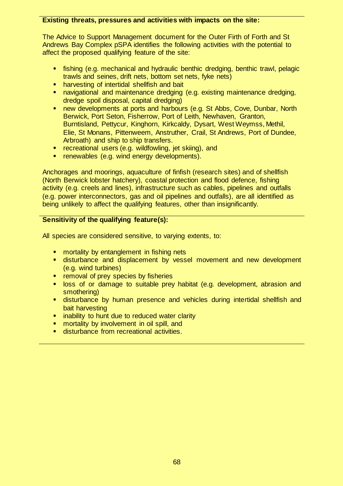### **Existing threats, pressures and activities with impacts on the site:**

The Advice to Support Management document for the Outer Firth of Forth and St Andrews Bay Complex pSPA identifies the following activities with the potential to affect the proposed qualifying feature of the site:

- fishing (e.g. mechanical and hydraulic benthic dredging, benthic trawl, pelagic trawls and seines, drift nets, bottom set nets, fyke nets)
- harvesting of intertidal shellfish and bait
- navigational and maintenance dredging (e.g. existing maintenance dredging, dredge spoil disposal, capital dredging)
- **new developments at ports and harbours (e.g. St Abbs, Cove, Dunbar, North** Berwick, Port Seton, Fisherrow, Port of Leith, Newhaven, Granton, Burntisland, Pettycur, Kinghorn, Kirkcaldy, Dysart, West Weymss, Methil, Elie, St Monans, Pittenweem, Anstruther, Crail, St Andrews, Port of Dundee, Arbroath) and ship to ship transfers.
- **F** recreational users (e.g. wildfowling, jet skiing), and
- **F** renewables (e.g. wind energy developments).

Anchorages and moorings, aquaculture of finfish (research sites) and of shellfish (North Berwick lobster hatchery), coastal protection and flood defence, fishing activity (e.g. creels and lines), infrastructure such as cables, pipelines and outfalls (e.g. power interconnectors, gas and oil pipelines and outfalls), are all identified as being unlikely to affect the qualifying features, other than insignificantly.

# **Sensitivity of the qualifying feature(s):**

All species are considered sensitive, to varying extents, to:

- **EX mortality by entanglement in fishing nets**
- disturbance and displacement by vessel movement and new development (e.g. wind turbines)
- **F** removal of prey species by fisheries
- loss of or damage to suitable prey habitat (e.g. development, abrasion and smothering)
- disturbance by human presence and vehicles during intertidal shellfish and bait harvesting
- **EXT** inability to hunt due to reduced water clarity
- mortality by involvement in oil spill, and
- **disturbance from recreational activities.**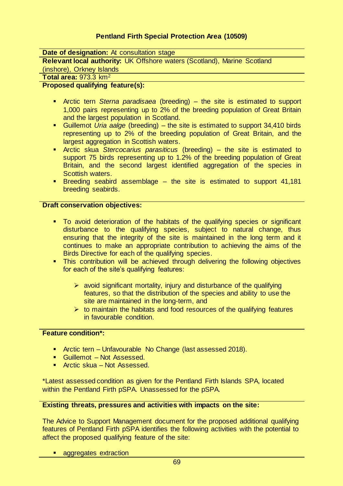# **Pentland Firth Special Protection Area (10509)**

**Date of designation:** At consultation stage

**Relevant local authority:** UK Offshore waters (Scotland), Marine Scotland

(inshore), Orkney Islands

**Total area:** 973.3 km<sup>2</sup>

### **Proposed qualifying feature(s):**

- Arctic tern *Sterna paradisaea* (breeding) the site is estimated to support 1,000 pairs representing up to 2% of the breeding population of Great Britain and the largest population in Scotland.
- Guillemot *Uria aalge* (breeding) the site is estimated to support 34,410 birds representing up to 2% of the breeding population of Great Britain, and the largest aggregation in Scottish waters.
- Arctic skua *Stercocarius parasiticus* (breeding) the site is estimated to support 75 birds representing up to 1.2% of the breeding population of Great Britain, and the second largest identified aggregation of the species in Scottish waters.
- Breeding seabird assemblage the site is estimated to support 41,181 breeding seabirds.

#### **Draft conservation objectives:**

- To avoid deterioration of the habitats of the qualifying species or significant disturbance to the qualifying species, subject to natural change, thus ensuring that the integrity of the site is maintained in the long term and it continues to make an appropriate contribution to achieving the aims of the Birds Directive for each of the qualifying species.
- **This contribution will be achieved through delivering the following objectives** for each of the site's qualifying features:
	- $\triangleright$  avoid significant mortality, injury and disturbance of the qualifying features, so that the distribution of the species and ability to use the site are maintained in the long-term, and
	- $\triangleright$  to maintain the habitats and food resources of the qualifying features in favourable condition.

### **Feature condition\*:**

- **Arctic tern Unfavourable No Change (last assessed 2018).**
- Guillemot Not Assessed.
- Arctic skua Not Assessed.

\*Latest assessed condition as given for the Pentland Firth Islands SPA, located within the Pentland Firth pSPA. Unassessed for the pSPA.

# **Existing threats, pressures and activities with impacts on the site:**

The Advice to Support Management document for the proposed additional qualifying features of Pentland Firth pSPA identifies the following activities with the potential to affect the proposed qualifying feature of the site:

aggregates extraction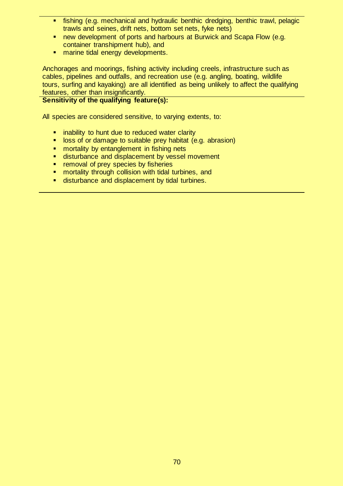- fishing (e.g. mechanical and hydraulic benthic dredging, benthic trawl, pelagic trawls and seines, drift nets, bottom set nets, fyke nets)
- **new development of ports and harbours at Burwick and Scapa Flow (e.g.**) container transhipment hub), and
- **narine tidal energy developments.**

Anchorages and moorings, fishing activity including creels, infrastructure such as cables, pipelines and outfalls, and recreation use (e.g. angling, boating, wildlife tours, surfing and kayaking) are all identified as being unlikely to affect the qualifying features, other than insignificantly.

# **Sensitivity of the qualifying feature(s):**

All species are considered sensitive, to varying extents, to:

- **EXTERN** inability to hunt due to reduced water clarity
- **B** loss of or damage to suitable prey habitat (e.g. abrasion)
- **number** mortality by entanglement in fishing nets
- **disturbance and displacement by vessel movement**
- **F** removal of prey species by fisheries
- **E** mortality through collision with tidal turbines, and
- **disturbance and displacement by tidal turbines.**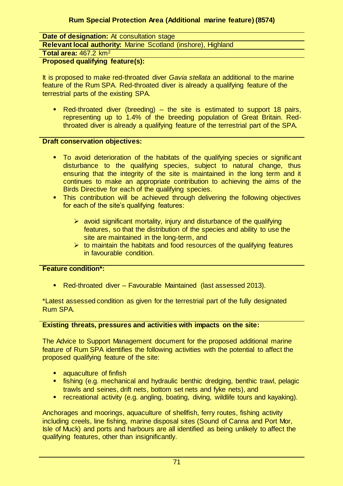# **Date of designation:** At consultation stage

**Relevant local authority:** Marine Scotland (inshore), Highland

**Total area:** 467.2 km<sup>2</sup>

### **Proposed qualifying feature(s):**

It is proposed to make red-throated diver *Gavia stellata* an additional to the marine feature of the Rum SPA. Red-throated diver is already a qualifying feature of the terrestrial parts of the existing SPA.

Red-throated diver (breeding) – the site is estimated to support 18 pairs, representing up to 1.4% of the breeding population of Great Britain. Redthroated diver is already a qualifying feature of the terrestrial part of the SPA.

#### **Draft conservation objectives:**

- To avoid deterioration of the habitats of the qualifying species or significant disturbance to the qualifying species, subject to natural change, thus ensuring that the integrity of the site is maintained in the long term and it continues to make an appropriate contribution to achieving the aims of the Birds Directive for each of the qualifying species.
- **This contribution will be achieved through delivering the following objectives** for each of the site's qualifying features:
	- $\triangleright$  avoid significant mortality, injury and disturbance of the qualifying features, so that the distribution of the species and ability to use the site are maintained in the long-term, and
	- $\triangleright$  to maintain the habitats and food resources of the qualifying features in favourable condition.

### **Feature condition\*:**

Red-throated diver – Favourable Maintained (last assessed 2013).

\*Latest assessed condition as given for the terrestrial part of the fully designated Rum SPA.

### **Existing threats, pressures and activities with impacts on the site:**

The Advice to Support Management document for the proposed additional marine feature of Rum SPA identifies the following activities with the potential to affect the proposed qualifying feature of the site:

- **a** aquaculture of finfish
- fishing (e.g. mechanical and hydraulic benthic dredging, benthic trawl, pelagic trawls and seines, drift nets, bottom set nets and fyke nets), and
- recreational activity (e.g. angling, boating, diving, wildlife tours and kayaking).

Anchorages and moorings, aquaculture of shellfish, ferry routes, fishing activity including creels, line fishing, marine disposal sites (Sound of Canna and Port Mor, Isle of Muck) and ports and harbours are all identified as being unlikely to affect the qualifying features, other than insignificantly.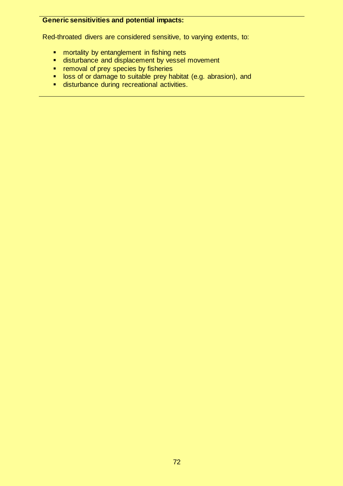# **Generic sensitivities and potential impacts:**

Red-throated divers are considered sensitive, to varying extents, to:

- **•** mortality by entanglement in fishing nets
- disturbance and displacement by vessel movement
- **•** removal of prey species by fisheries
- **Diamage to suitable prey habitat (e.g. abrasion), and**
- disturbance during recreational activities.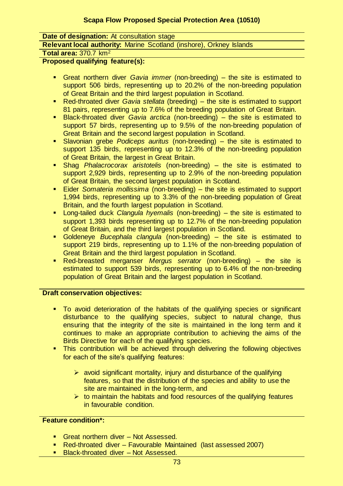**Date of designation:** At consultation stage

**Relevant local authority:** Marine Scotland (inshore), Orkney Islands

**Total area:** 370.7 km<sup>2</sup>

**Proposed qualifying feature(s):** 

- Great northern diver *Gavia immer* (non-breeding) the site is estimated to support 506 birds, representing up to 20.2% of the non-breeding population of Great Britain and the third largest population in Scotland.
- Red-throated diver *Gavia stellata* (breeding) the site is estimated to support 81 pairs, representing up to 7.6% of the breeding population of Great Britain.
- Black-throated diver *Gavia arctica* (non-breeding) the site is estimated to support 57 birds, representing up to 9.5% of the non-breeding population of Great Britain and the second largest population in Scotland.
- Slavonian grebe *Podiceps auritus* (non-breeding) the site is estimated to support 135 birds, representing up to 12.3% of the non-breeding population of Great Britain, the largest in Great Britain.
- Shag *Phalacrocorax aristotelis* (non-breeding) the site is estimated to support 2,929 birds, representing up to 2.9% of the non-breeding population of Great Britain, the second largest population in Scotland.
- Eider *Somateria mollissima* (non-breeding) the site is estimated to support 1,994 birds, representing up to 3.3% of the non-breeding population of Great Britain, and the fourth largest population in Scotland.
- Long-tailed duck *Clangula hyemalis* (non-breeding) the site is estimated to support 1,393 birds representing up to 12.7% of the non-breeding population of Great Britain, and the third largest population in Scotland.
- Goldeneye *Bucephala clangula* (non-breeding) the site is estimated to support 219 birds, representing up to 1.1% of the non-breeding population of Great Britain and the third largest population in Scotland.
- Red-breasted merganser *Mergus serrator* (non-breeding) the site is estimated to support 539 birds, representing up to 6.4% of the non-breeding population of Great Britain and the largest population in Scotland.

# **Draft conservation objectives:**

- To avoid deterioration of the habitats of the qualifying species or significant disturbance to the qualifying species, subject to natural change, thus ensuring that the integrity of the site is maintained in the long term and it continues to make an appropriate contribution to achieving the aims of the Birds Directive for each of the qualifying species.
- This contribution will be achieved through delivering the following objectives for each of the site's qualifying features:
	- $\triangleright$  avoid significant mortality, injury and disturbance of the qualifying features, so that the distribution of the species and ability to use the site are maintained in the long-term, and
	- $\triangleright$  to maintain the habitats and food resources of the qualifying features in favourable condition.

# **Feature condition\*:**

- Great northern diver Not Assessed.
- Red-throated diver Favourable Maintained (last assessed 2007)
- **Black-throated diver Not Assessed.**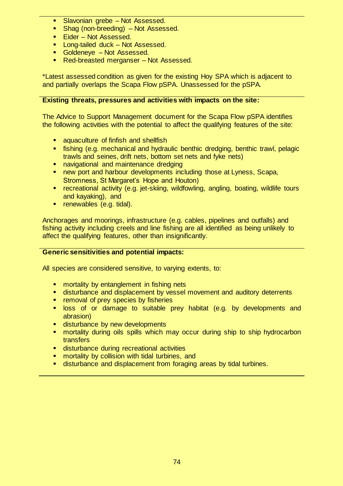- Slavonian grebe Not Assessed.
- **Shag (non-breeding) Not Assessed.**
- Eider Not Assessed.
- **Long-tailed duck Not Assessed.**
- **Goldeneye Not Assessed.**
- Red-breasted merganser Not Assessed.

\*Latest assessed condition as given for the existing Hoy SPA which is adjacent to and partially overlaps the Scapa Flow pSPA. Unassessed for the pSPA.

#### **Existing threats, pressures and activities with impacts on the site:**

The Advice to Support Management document for the Scapa Flow pSPA identifies the following activities with the potential to affect the qualifying features of the site:

- aquaculture of finfish and shellfish
- fishing (e.g. mechanical and hydraulic benthic dredging, benthic trawl, pelagic trawls and seines, drift nets, bottom set nets and fyke nets)
- navigational and maintenance dredging
- **new port and harbour developments including those at Lyness, Scapa,** Stromness, St Margaret's Hope and Houton)
- recreational activity (e.g. jet-skiing, wildfowling, angling, boating, wildlife tours and kayaking), and
- **•** renewables (e.g. tidal).

Anchorages and moorings, infrastructure (e.g. cables, pipelines and outfalls) and fishing activity including creels and line fishing are all identified as being unlikely to affect the qualifying features, other than insignificantly.

#### **Generic sensitivities and potential impacts:**

- **EX mortality by entanglement in fishing nets**
- disturbance and displacement by vessel movement and auditory deterrents
- removal of prey species by fisheries
- **Disk** of or damage to suitable prey habitat (e.g. by developments and abrasion)
- disturbance by new developments
- mortality during oils spills which may occur during ship to ship hydrocarbon transfers
- **disturbance during recreational activities**
- mortality by collision with tidal turbines, and
- disturbance and displacement from foraging areas by tidal turbines.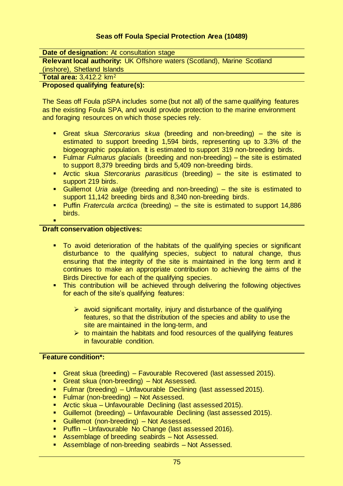# **Seas off Foula Special Protection Area (10489)**

**Date of designation:** At consultation stage

**Relevant local authority:** UK Offshore waters (Scotland), Marine Scotland

(inshore), Shetland Islands

**Total area:** 3,412.2 km<sup>2</sup>

#### **Proposed qualifying feature(s):**

The Seas off Foula pSPA includes some (but not all) of the same qualifying features as the existing Foula SPA, and would provide protection to the marine environment and foraging resources on which those species rely.

- Great skua *Stercorarius skua* (breeding and non-breeding) the site is estimated to support breeding 1,594 birds, representing up to 3.3% of the biogeographic population. It is estimated to support 319 non-breeding birds.
- Fulmar *Fulmarus glacialis* (breeding and non-breeding) the site is estimated to support 8,379 breeding birds and 5,409 non-breeding birds.
- Arctic skua *Stercorarius parasiticus* (breeding) the site is estimated to support 219 birds.
- Guillemot *Uria aalge* (breeding and non-breeding) the site is estimated to support 11,142 breeding birds and 8,340 non-breeding birds.
- Puffin *Fratercula arctica* (breeding) the site is estimated to support 14,886 birds.

#### **Draft conservation objectives:**

×

- To avoid deterioration of the habitats of the qualifying species or significant disturbance to the qualifying species, subject to natural change, thus ensuring that the integrity of the site is maintained in the long term and it continues to make an appropriate contribution to achieving the aims of the Birds Directive for each of the qualifying species.
- **This contribution will be achieved through delivering the following objectives** for each of the site's qualifying features:
	- $\triangleright$  avoid significant mortality, injury and disturbance of the qualifying features, so that the distribution of the species and ability to use the site are maintained in the long-term, and
	- $\triangleright$  to maintain the habitats and food resources of the qualifying features in favourable condition.

# **Feature condition\*:**

- Great skua (breeding) Favourable Recovered (last assessed 2015).
- **Great skua (non-breeding) Not Assessed.**
- **Fulmar (breeding) Unfavourable Declining (last assessed 2015).**
- **Fulmar (non-breeding) Not Assessed.**
- Arctic skua Unfavourable Declining (last assessed 2015).
- Guillemot (breeding) Unfavourable Declining (last assessed 2015).
- **Guillemot (non-breeding) Not Assessed.**
- **Puffin Unfavourable No Change (last assessed 2016).**
- Assemblage of breeding seabirds Not Assessed.
- Assemblage of non-breeding seabirds Not Assessed.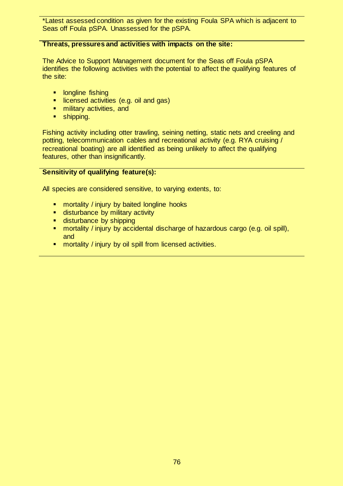\*Latest assessed condition as given for the existing Foula SPA which is adjacent to Seas off Foula pSPA. Unassessed for the pSPA.

#### **Threats, pressures and activities with impacts on the site:**

The Advice to Support Management document for the Seas off Foula pSPA identifies the following activities with the potential to affect the qualifying features of the site:

- **Indianally** longline fishing
- **If** licensed activities (e.g. oil and gas)
- **numilitary activities, and**
- **shipping.**

Fishing activity including otter trawling, seining netting, static nets and creeling and potting, telecommunication cables and recreational activity (e.g. RYA cruising / recreational boating) are all identified as being unlikely to affect the qualifying features, other than insignificantly.

#### **Sensitivity of qualifying feature(s):**

- **•** mortality / injury by baited longline hooks
- **disturbance by military activity**
- **disturbance by shipping**
- **nd mortality / injury by accidental discharge of hazardous cargo (e.g. oil spill),** and
- **EXECT** mortality / injury by oil spill from licensed activities.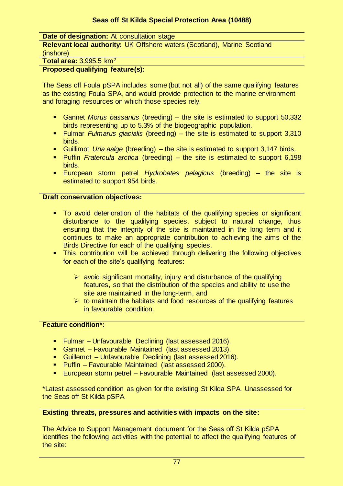## **Seas off St Kilda Special Protection Area (10488)**

**Date of designation:** At consultation stage

**Relevant local authority:** UK Offshore waters (Scotland), Marine Scotland (inshore)

#### **Total area:** 3,995.5 km<sup>2</sup>

#### **Proposed qualifying feature(s):**

The Seas off Foula pSPA includes some (but not all) of the same qualifying features as the existing Foula SPA, and would provide protection to the marine environment and foraging resources on which those species rely.

- Gannet *Morus bassanus* (breeding) the site is estimated to support 50,332 birds representing up to 5.3% of the biogeographic population.
- Fulmar *Fulmarus glacialis* (breeding) the site is estimated to support 3,310 birds.
- Guillimot *Uria aalge* (breeding) the site is estimated to support 3,147 birds.
- Puffin *Fratercula arctica* (breeding) the site is estimated to support 6,198 birds.
- European storm petrel *Hydrobates pelagicus* (breeding) the site is estimated to support 954 birds.

#### **Draft conservation objectives:**

- To avoid deterioration of the habitats of the qualifying species or significant disturbance to the qualifying species, subject to natural change, thus ensuring that the integrity of the site is maintained in the long term and it continues to make an appropriate contribution to achieving the aims of the Birds Directive for each of the qualifying species.
- **This contribution will be achieved through delivering the following objectives** for each of the site's qualifying features:
	- $\triangleright$  avoid significant mortality, injury and disturbance of the qualifying features, so that the distribution of the species and ability to use the site are maintained in the long-term, and
	- $\triangleright$  to maintain the habitats and food resources of the qualifying features in favourable condition.

# **Feature condition\*:**

- **Fulmar-Unfavourable Declining (last assessed 2016).**
- Gannet Favourable Maintained (last assessed 2013).
- Guillemot Unfavourable Declining (last assessed 2016).
- Puffin Favourable Maintained (last assessed 2000).
- **European storm petrel Favourable Maintained (last assessed 2000).**

\*Latest assessed condition as given for the existing St Kilda SPA. Unassessed for the Seas off St Kilda pSPA.

#### **Existing threats, pressures and activities with impacts on the site:**

The Advice to Support Management document for the Seas off St Kilda pSPA identifies the following activities with the potential to affect the qualifying features of the site: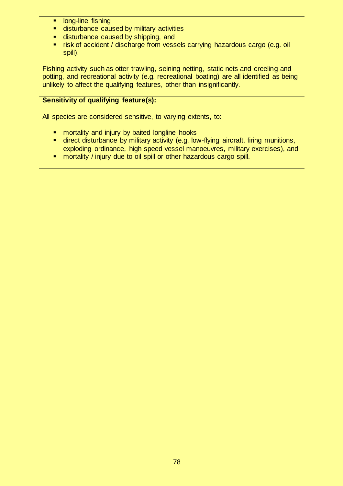- **Indem** long-line fishing
- **EXECUTE:** disturbance caused by military activities
- **disturbance caused by shipping, and**
- **F** risk of accident / discharge from vessels carrying hazardous cargo (e.g. oil spill).

Fishing activity such as otter trawling, seining netting, static nets and creeling and potting, and recreational activity (e.g. recreational boating) are all identified as being unlikely to affect the qualifying features, other than insignificantly.

# **Sensitivity of qualifying feature(s):**

- **numortality and injury by baited longline hooks**<br>**numinal institution on the military activity (e.g. love**
- direct disturbance by military activity (e.g. low-flying aircraft, firing munitions, exploding ordinance, high speed vessel manoeuvres, military exercises), and
- **number 10 mortality** / injury due to oil spill or other hazardous cargo spill.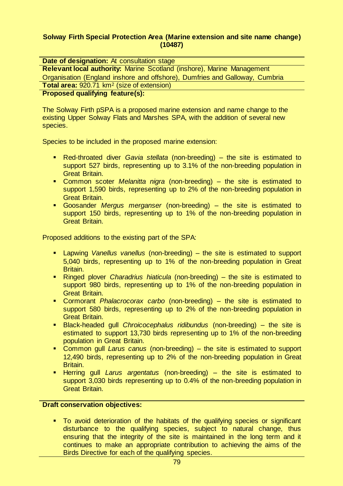#### **Solway Firth Special Protection Area (Marine extension and site name change) (10487)**

| Date of designation: At consultation stage                                    |
|-------------------------------------------------------------------------------|
| <b>Relevant local authority: Marine Scotland (inshore), Marine Management</b> |
| Organisation (England inshore and offshore), Dumfries and Galloway, Cumbria   |
| Total area: 920.71 km <sup>2</sup> (size of extension)                        |
| <b>Proposed qualifying feature(s):</b>                                        |
|                                                                               |

The Solway Firth pSPA is a proposed marine extension and name change to the existing Upper Solway Flats and Marshes SPA, with the addition of several new species.

Species to be included in the proposed marine extension:

- Red-throated diver *Gavia stellata* (non-breeding) the site is estimated to support 527 birds, representing up to 3.1% of the non-breeding population in Great Britain.
- Common scoter *Melanitta nigra* (non-breeding) the site is estimated to support 1,590 birds, representing up to 2% of the non-breeding population in Great Britain.
- Goosander *Mergus merganser* (non-breeding) the site is estimated to support 150 birds, representing up to 1% of the non-breeding population in Great Britain.

Proposed additions to the existing part of the SPA:

- Lapwing *Vanellus vanellus* (non-breeding) the site is estimated to support 5,040 birds, representing up to 1% of the non-breeding population in Great Britain.
- Ringed plover *Charadrius hiaticula* (non-breeding) the site is estimated to support 980 birds, representing up to 1% of the non-breeding population in Great Britain.
- Cormorant *Phalacrocorax carbo* (non-breeding) the site is estimated to support 580 birds, representing up to 2% of the non-breeding population in Great Britain.
- Black-headed gull *Chroicocephalus ridibundus* (non-breeding) the site is estimated to support 13,730 birds representing up to 1% of the non-breeding population in Great Britain.
- Common gull *Larus canus* (non-breeding) the site is estimated to support 12,490 birds, representing up to 2% of the non-breeding population in Great Britain.
- Herring gull *Larus argentatus* (non-breeding) the site is estimated to support 3,030 birds representing up to 0.4% of the non-breeding population in Great Britain.

#### **Draft conservation objectives:**

 To avoid deterioration of the habitats of the qualifying species or significant disturbance to the qualifying species, subject to natural change, thus ensuring that the integrity of the site is maintained in the long term and it continues to make an appropriate contribution to achieving the aims of the Birds Directive for each of the qualifying species.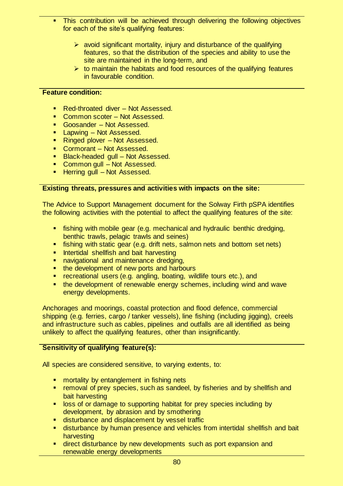- **This contribution will be achieved through delivering the following objectives** for each of the site's qualifying features:
	- $\triangleright$  avoid significant mortality, injury and disturbance of the qualifying features, so that the distribution of the species and ability to use the site are maintained in the long-term, and
	- $\triangleright$  to maintain the habitats and food resources of the qualifying features in favourable condition.

#### **Feature condition:**

- Red-throated diver Not Assessed.
- Common scoter Not Assessed.
- Goosander Not Assessed.
- **Lapwing Not Assessed.**
- Ringed plover Not Assessed.
- Cormorant Not Assessed.
- **Black-headed gull Not Assessed.**
- **Common gull Not Assessed.**
- Herring gull Not Assessed.

#### **Existing threats, pressures and activities with impacts on the site:**

The Advice to Support Management document for the Solway Firth pSPA identifies the following activities with the potential to affect the qualifying features of the site:

- fishing with mobile gear (e.g. mechanical and hydraulic benthic dredging, benthic trawls, pelagic trawls and seines)
- fishing with static gear (e.g. drift nets, salmon nets and bottom set nets)
- **Intertidal shellfish and bait harvesting**
- **navigational and maintenance dredging.**
- the development of new ports and harbours
- **F** recreational users (e.g. angling, boating, wildlife tours etc.), and
- the development of renewable energy schemes, including wind and wave energy developments.

Anchorages and moorings, coastal protection and flood defence, commercial shipping (e.g. ferries, cargo / tanker vessels), line fishing (including jigging), creels and infrastructure such as cables, pipelines and outfalls are all identified as being unlikely to affect the qualifying features, other than insignificantly.

# **Sensitivity of qualifying feature(s):**

- **EX mortality by entanglement in fishing nets**
- **F** removal of prey species, such as sandeel, by fisheries and by shellfish and bait harvesting
- **If** loss of or damage to supporting habitat for prey species including by development, by abrasion and by smothering
- **EXEC** disturbance and displacement by vessel traffic
- disturbance by human presence and vehicles from intertidal shellfish and bait harvesting
- **EXT** direct disturbance by new developments such as port expansion and renewable energy developments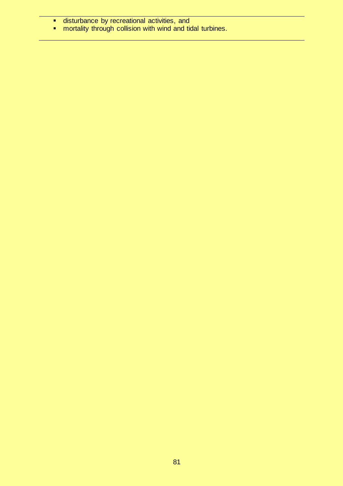- **E** disturbance by recreational activities, and
- **numity through collision with wind and tidal turbines.**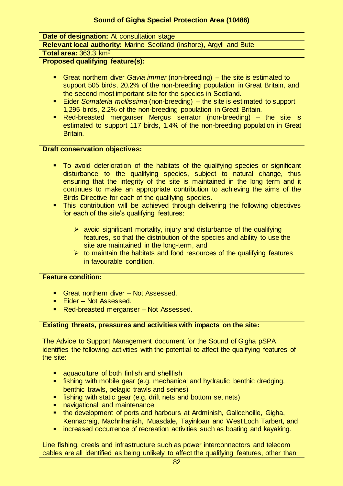#### **Date of designation:** At consultation stage

**Relevant local authority:** Marine Scotland (inshore), Argyll and Bute

**Total area:** 363.3 km<sup>2</sup>

**Proposed qualifying feature(s):** 

- Great northern diver *Gavia immer* (non-breeding) the site is estimated to support 505 birds, 20.2% of the non-breeding population in Great Britain, and the second most important site for the species in Scotland.
- Eider *Somateria mollissima* (non-breeding) the site is estimated to support 1,295 birds, 2.2% of the non-breeding population in Great Britain.
- Red-breasted merganser Mergus serrator (non-breeding) the site is estimated to support 117 birds, 1.4% of the non-breeding population in Great Britain.

#### **Draft conservation objectives:**

- To avoid deterioration of the habitats of the qualifying species or significant disturbance to the qualifying species, subject to natural change, thus ensuring that the integrity of the site is maintained in the long term and it continues to make an appropriate contribution to achieving the aims of the Birds Directive for each of the qualifying species.
- **This contribution will be achieved through delivering the following objectives** for each of the site's qualifying features:
	- $\triangleright$  avoid significant mortality, injury and disturbance of the qualifying features, so that the distribution of the species and ability to use the site are maintained in the long-term, and
	- $\triangleright$  to maintain the habitats and food resources of the qualifying features in favourable condition.

#### **Feature condition:**

- Great northern diver Not Assessed.
- Eider Not Assessed.
- Red-breasted merganser Not Assessed.

# **Existing threats, pressures and activities with impacts on the site:**

The Advice to Support Management document for the Sound of Gigha pSPA identifies the following activities with the potential to affect the qualifying features of the site:

- aquaculture of both finfish and shellfish
- **fishing with mobile gear (e.g. mechanical and hydraulic benthic dredging,** benthic trawls, pelagic trawls and seines)
- **fishing with static gear (e.g. drift nets and bottom set nets)**
- navigational and maintenance
- **the development of ports and harbours at Ardminish, Gallochoille, Gigha,** Kennacraig, Machrihanish, Muasdale, Tayinloan and West Loch Tarbert, and
- **EXT** increased occurrence of recreation activities such as boating and kayaking.

Line fishing, creels and infrastructure such as power interconnectors and telecom cables are all identified as being unlikely to affect the qualifying features, other than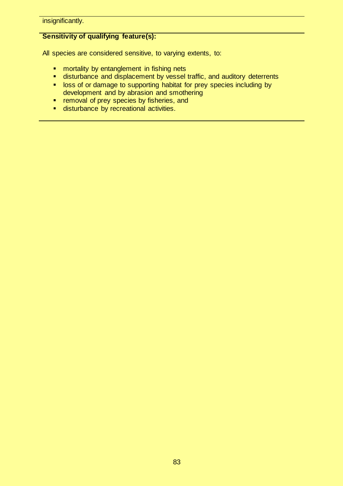insignificantly.

# **Sensitivity of qualifying feature(s):**

- **n** mortality by entanglement in fishing nets
- **E** disturbance and displacement by vessel traffic, and auditory deterrents
- **I** loss of or damage to supporting habitat for prey species including by development and by abrasion and smothering
- **F** removal of prey species by fisheries, and
- **disturbance by recreational activities.**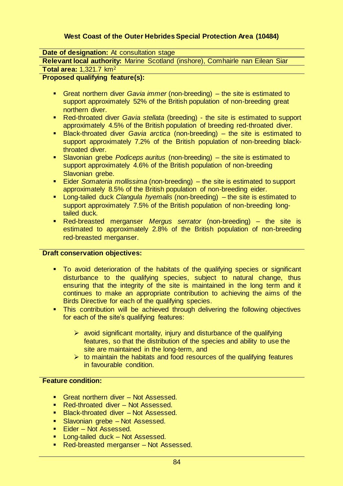# **West Coast of the Outer Hebrides Special Protection Area (10484)**

**Date of designation:** At consultation stage

**Relevant local authority:** Marine Scotland (inshore), Comhairle nan Eilean Siar

#### **Total area:** 1,321.7 km<sup>2</sup>

#### **Proposed qualifying feature(s):**

- Great northern diver *Gavia immer* (non-breeding) the site is estimated to support approximately 52% of the British population of non-breeding great northern diver.
- Red-throated diver *Gavia stellata* (breeding) the site is estimated to support approximately 4.5% of the British population of breeding red-throated diver.
- Black-throated diver *Gavia arctica* (non-breeding) the site is estimated to support approximately 7.2% of the British population of non-breeding blackthroated diver.
- Slavonian grebe *Podiceps auritus* (non-breeding) the site is estimated to support approximately 4.6% of the British population of non-breeding Slavonian grebe.
- Eider *Somateria mollissima* (non-breeding) the site is estimated to support approximately 8.5% of the British population of non-breeding eider.
- Long-tailed duck *Clangula hyemalis* (non-breeding) the site is estimated to support approximately 7.5% of the British population of non-breeding longtailed duck.
- Red-breasted merganser *Mergus serrator* (non-breeding) the site is estimated to approximately 2.8% of the British population of non-breeding red-breasted merganser.

#### **Draft conservation objectives:**

- To avoid deterioration of the habitats of the qualifying species or significant disturbance to the qualifying species, subject to natural change, thus ensuring that the integrity of the site is maintained in the long term and it continues to make an appropriate contribution to achieving the aims of the Birds Directive for each of the qualifying species.
- **This contribution will be achieved through delivering the following objectives** for each of the site's qualifying features:
	- $\triangleright$  avoid significant mortality, injury and disturbance of the qualifying features, so that the distribution of the species and ability to use the site are maintained in the long-term, and
	- $\triangleright$  to maintain the habitats and food resources of the qualifying features in favourable condition.

#### **Feature condition:**

- Great northern diver Not Assessed.
- Red-throated diver Not Assessed.
- **Black-throated diver Not Assessed.**
- **Slavonian grebe Not Assessed.**
- Eider Not Assessed.
- **Long-tailed duck Not Assessed.**
- Red-breasted merganser Not Assessed.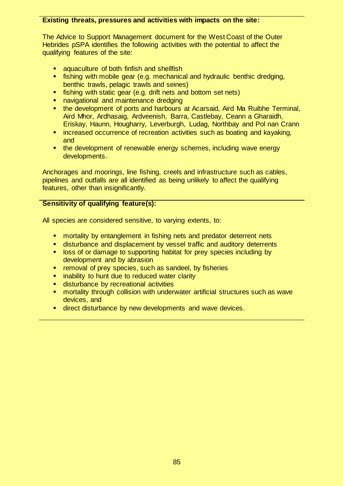#### **Existing threats, pressures and activities with impacts on the site:**

The Advice to Support Management document for the West Coast of the Outer Hebrides pSPA identifies the following activities with the potential to affect the qualifying features of the site:

- **Example 2** aquaculture of both finfish and shellfish
- **fishing with mobile gear (e.g. mechanical and hydraulic benthic dredging,** benthic trawls, pelagic trawls and seines)
- **fishing with static gear (e.g. drift nets and bottom set nets)**
- navigational and maintenance dredging
- the development of ports and harbours at Acarsaid, Aird Ma Ruibhe Terminal, Aird Mhor, Ardhasaig, Ardveenish, Barra, Castlebay, Ceann a Gharaidh, Eriskay, Haunn, Hougharry, Leverburgh, Ludag, Northbay and Pol nan Crann
- **EXTERGED FEET FIRTH COLLET FIRTH COLLET** increased occurrence of recreation activities such as boating and kayaking, and
- **the development of renewable energy schemes, including wave energy** developments.

Anchorages and moorings, line fishing, creels and infrastructure such as cables, pipelines and outfalls are all identified as being unlikely to affect the qualifying features, other than insignificantly.

#### **Sensitivity of qualifying feature(s):**

- mortality by entanglement in fishing nets and predator deterrent nets
- disturbance and displacement by vessel traffic and auditory deterrents
- **I** loss of or damage to supporting habitat for prey species including by development and by abrasion
- **F** removal of prey species, such as sandeel, by fisheries
- **EXTERN** inability to hunt due to reduced water clarity
- **disturbance by recreational activities**
- **EXT** mortality through collision with underwater artificial structures such as wave devices, and
- **direct disturbance by new developments and wave devices.**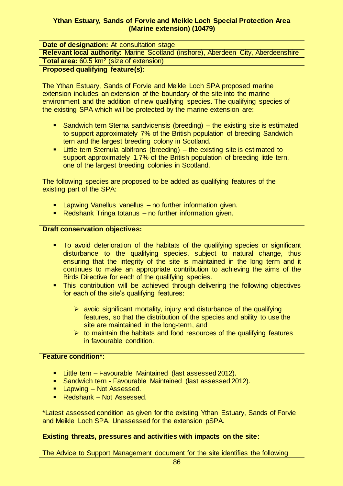#### **Ythan Estuary, Sands of Forvie and Meikle Loch Special Protection Area (Marine extension) (10479)**

| <b>Date of designation:</b> At consultation stage                                        |
|------------------------------------------------------------------------------------------|
| <b>Relevant local authority: Marine Scotland (inshore), Aberdeen City, Aberdeenshire</b> |
| Total area: 60.5 km <sup>2</sup> (size of extension)                                     |
| Pronosed qualifying feature(s).                                                          |

# **Proposed qualifying feature(s):**

The Ythan Estuary, Sands of Forvie and Meikle Loch SPA proposed marine extension includes an extension of the boundary of the site into the marine environment and the addition of new qualifying species. The qualifying species of the existing SPA which will be protected by the marine extension are:

- Sandwich tern Sterna sandvicensis (breeding) the existing site is estimated to support approximately 7% of the British population of breeding Sandwich tern and the largest breeding colony in Scotland.
- **EXTE:** Little tern Sternula albifrons (breeding) the existing site is estimated to support approximately 1.7% of the British population of breeding little tern, one of the largest breeding colonies in Scotland.

The following species are proposed to be added as qualifying features of the existing part of the SPA:

- **EXECT** Lapwing Vanellus vanellus no further information given.
- Redshank Tringa totanus no further information given.

#### **Draft conservation objectives:**

- To avoid deterioration of the habitats of the qualifying species or significant disturbance to the qualifying species, subject to natural change, thus ensuring that the integrity of the site is maintained in the long term and it continues to make an appropriate contribution to achieving the aims of the Birds Directive for each of the qualifying species.
- **This contribution will be achieved through delivering the following objectives** for each of the site's qualifying features:
	- $\triangleright$  avoid significant mortality, injury and disturbance of the qualifying features, so that the distribution of the species and ability to use the site are maintained in the long-term, and
	- $\triangleright$  to maintain the habitats and food resources of the qualifying features in favourable condition.

#### **Feature condition\*:**

- **E** Little tern Favourable Maintained (last assessed 2012).
- **Sandwich tern Favourable Maintained (last assessed 2012).**
- **Lapwing Not Assessed.**
- Redshank Not Assessed.

\*Latest assessed condition as given for the existing Ythan Estuary, Sands of Forvie and Meikle Loch SPA. Unassessed for the extension pSPA.

#### **Existing threats, pressures and activities with impacts on the site:**

The Advice to Support Management document for the site identifies the following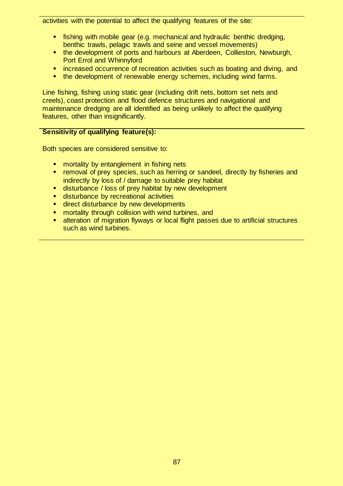activities with the potential to affect the qualifying features of the site:

- **fishing with mobile gear (e.g. mechanical and hydraulic benthic dredging,** benthic trawls, pelagic trawls and seine and vessel movements)
- **the development of ports and harbours at Aberdeen, Collieston, Newburgh,** Port Errol and Whinnyford
- **EXT** increased occurrence of recreation activities such as boating and diving, and
- the development of renewable energy schemes, including wind farms.

Line fishing, fishing using static gear (including drift nets, bottom set nets and creels), coast protection and flood defence structures and navigational and maintenance dredging are all identified as being unlikely to affect the qualifying features, other than insignificantly.

# **Sensitivity of qualifying feature(s):**

Both species are considered sensitive to:

- **EX mortality by entanglement in fishing nets**
- **F** removal of prey species, such as herring or sandeel, directly by fisheries and indirectly by loss of / damage to suitable prey habitat
- disturbance / loss of prey habitat by new development
- disturbance by recreational activities
- **direct disturbance by new developments**
- **number 10 mortality through collision with wind turbines, and**
- **EXT** alteration of migration flyways or local flight passes due to artificial structures such as wind turbines.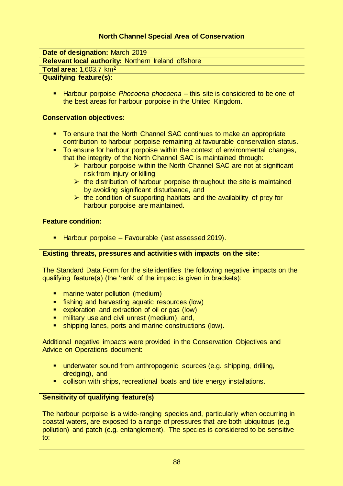# **North Channel Special Area of Conservation**

**Date of designation:** March 2019

**Relevant local authority:** Northern Ireland offshore

# **Total area:** 1,603.7 km<sup>2</sup>

# **Qualifying feature(s):**

 Harbour porpoise *Phocoena phocoena* – this site is considered to be one of the best areas for harbour porpoise in the United Kingdom.

#### **Conservation objectives:**

- To ensure that the North Channel SAC continues to make an appropriate contribution to harbour porpoise remaining at favourable conservation status.
- To ensure for harbour porpoise within the context of environmental changes, that the integrity of the North Channel SAC is maintained through:
	- $\triangleright$  harbour porpoise within the North Channel SAC are not at significant risk from injury or killing
	- $\triangleright$  the distribution of harbour porpoise throughout the site is maintained by avoiding significant disturbance, and
	- $\triangleright$  the condition of supporting habitats and the availability of prey for harbour porpoise are maintained.

#### **Feature condition:**

**Harbour porpoise – Favourable (last assessed 2019).** 

#### **Existing threats, pressures and activities with impacts on the site:**

The Standard Data Form for the site identifies the following negative impacts on the qualifying feature(s) (the 'rank' of the impact is given in brackets):

- marine water pollution (medium)
- fishing and harvesting aquatic resources (low)
- exploration and extraction of oil or gas (low)
- **numilitary use and civil unrest (medium), and,**
- shipping lanes, ports and marine constructions (low).

Additional negative impacts were provided in the Conservation Objectives and Advice on Operations document:

- underwater sound from anthropogenic sources (e.g. shipping, drilling, dredging), and
- collison with ships, recreational boats and tide energy installations.

#### **Sensitivity of qualifying feature(s)**

The harbour porpoise is a wide-ranging species and, particularly when occurring in coastal waters, are exposed to a range of pressures that are both ubiquitous (e.g. pollution) and patch (e.g. entanglement). The species is considered to be sensitive to: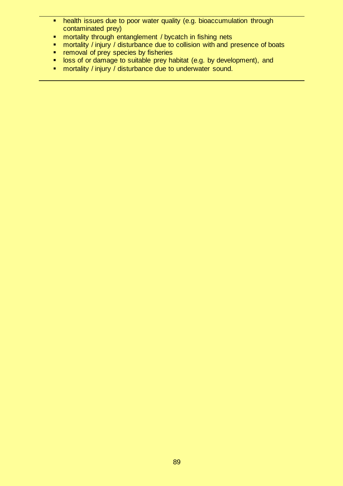- **health issues due to poor water quality (e.g. bioaccumulation through** contaminated prey)
- **n** mortality through entanglement / bycatch in fishing nets
- **numilary** / injury / disturbance due to collision with and presence of boats<br>**numilary** contribution of previous by fisheries
- removal of prey species by fisheries
- **loss of or damage to suitable prey habitat (e.g. by development), and**
- **•** mortality / injury / disturbance due to underwater sound.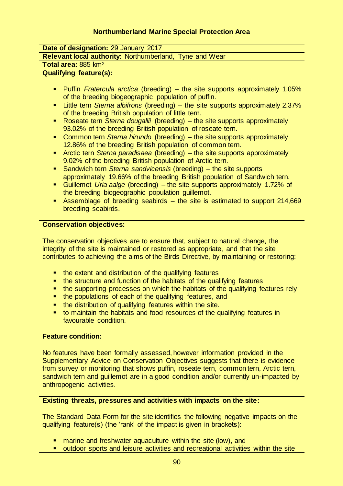## **Northumberland Marine Special Protection Area**

**Date of designation:** 29 January 2017

**Relevant local authority:** Northumberland, Tyne and Wear

**Total area:** 885 km<sup>2</sup>

#### **Qualifying feature(s):**

- Puffin *Fratercula arctica* (breeding) the site supports approximately 1.05% of the breeding biogeographic population of puffin.
- Little tern *Sterna albifrons* (breeding) the site supports approximately 2.37% of the breeding British population of little tern.
- Roseate tern *Sterna dougallii* (breeding) the site supports approximately 93.02% of the breeding British population of roseate tern.
- Common tern *Sterna hirundo* (breeding) the site supports approximately 12.86% of the breeding British population of common tern.
- Arctic tern *Sterna paradisaea* (breeding) the site supports approximately 9.02% of the breeding British population of Arctic tern.
- Sandwich tern *Sterna sandvicensis* (breeding) the site supports approximately 19.66% of the breeding British population of Sandwich tern.
- Guillemot *Uria aalge* (breeding) the site supports approximately 1.72% of the breeding biogeographic population guillemot.
- **Assemblage of breeding seabirds the site is estimated to support 214,669** breeding seabirds.

#### **Conservation objectives:**

The conservation objectives are to ensure that, subject to natural change, the integrity of the site is maintained or restored as appropriate, and that the site contributes to achieving the aims of the Birds Directive, by maintaining or restoring:

- the extent and distribution of the qualifying features
- the structure and function of the habitats of the qualifying features
- **the supporting processes on which the habitats of the qualifying features rely**
- the populations of each of the qualifying features, and
- **the distribution of qualifying features within the site.**
- to maintain the habitats and food resources of the qualifying features in favourable condition.

#### **Feature condition:**

No features have been formally assessed, however information provided in the Supplementary Advice on Conservation Objectives suggests that there is evidence from survey or monitoring that shows puffin, roseate tern, common tern, Arctic tern, sandwich tern and guillemot are in a good condition and/or currently un-impacted by anthropogenic activities.

#### **Existing threats, pressures and activities with impacts on the site:**

The Standard Data Form for the site identifies the following negative impacts on the qualifying feature(s) (the 'rank' of the impact is given in brackets):

- marine and freshwater aquaculture within the site (low), and
- outdoor sports and leisure activities and recreational activities within the site